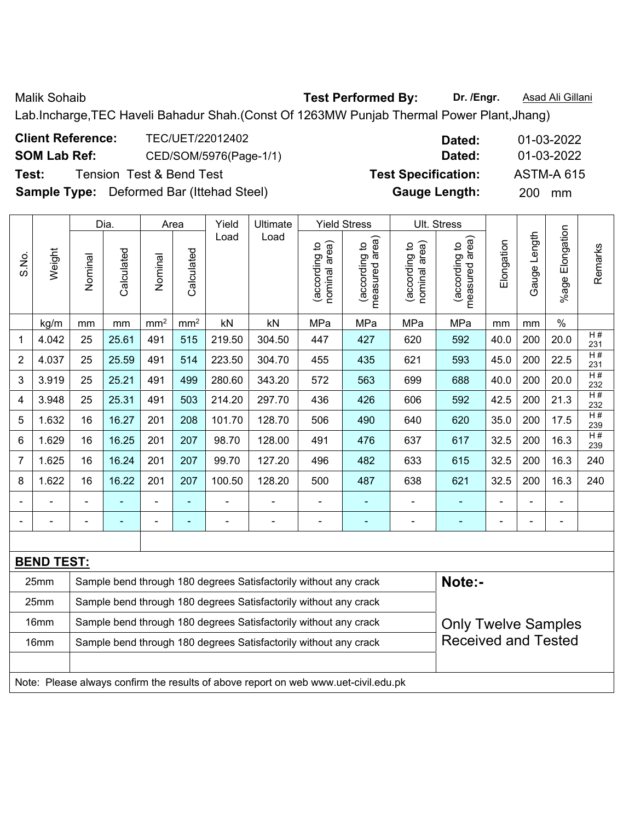Malik Sohaib **Test Performed By: Dr. /Engr.** Asad Ali Gillani

Lab.Incharge,TEC Haveli Bahadur Shah.(Const Of 1263MW Punjab Thermal Power Plant,Jhang)

| <b>Client Reference:</b> | TEC/UET/22012402                                 | Dated:                     | 01-03-2022        |
|--------------------------|--------------------------------------------------|----------------------------|-------------------|
| <b>SOM Lab Ref:</b>      | CED/SOM/5976(Page-1/1)                           | Dated:                     | 01-03-2022        |
| Test:                    | <b>Tension Test &amp; Bend Test</b>              | <b>Test Specification:</b> | <b>ASTM-A 615</b> |
|                          | <b>Sample Type:</b> Deformed Bar (Ittehad Steel) | <b>Gauge Length:</b>       | 200 mm            |

|                |                   |                | Dia.           | Area                     |                 | Yield          | Ultimate                                                         |                                | <b>Yield Stress</b>             |                                | Ult. Stress                        |                |                |                       |           |
|----------------|-------------------|----------------|----------------|--------------------------|-----------------|----------------|------------------------------------------------------------------|--------------------------------|---------------------------------|--------------------------------|------------------------------------|----------------|----------------|-----------------------|-----------|
| S.No.          | Weight            | Nominal        | Calculated     | Nominal                  | Calculated      | Load           | Load                                                             | nominal area)<br>(according to | measured area)<br>(according to | nominal area)<br>(according to | area)<br>(according to<br>measured | Elongation     | Gauge Length   | Elongation<br>$%$ age | Remarks   |
|                | kg/m              | mm             | mm             | mm <sup>2</sup>          | mm <sup>2</sup> | kN             | kN                                                               | MPa                            | MPa                             | MPa                            | MPa                                | mm             | mm             | $\%$                  |           |
| 1              | 4.042             | 25             | 25.61          | 491                      | 515             | 219.50         | 304.50                                                           | 447                            | 427                             | 620                            | 592                                | 40.0           | 200            | 20.0                  | H#<br>231 |
| $\overline{c}$ | 4.037             | 25             | 25.59          | 491                      | 514             | 223.50         | 304.70                                                           | 455                            | 435                             | 621                            | 593                                | 45.0           | 200            | 22.5                  | H#<br>231 |
| 3              | 3.919             | 25             | 25.21          | 491                      | 499             | 280.60         | 343.20                                                           | 572                            | 563                             | 699                            | 688                                | 40.0           | 200            | 20.0                  | H#<br>232 |
| 4              | 3.948             | 25             | 25.31          | 491                      | 503             | 214.20         | 297.70                                                           | 436                            | 426                             | 606                            | 592                                | 42.5           | 200            | 21.3                  | H#<br>232 |
| 5              | 1.632             | 16             | 16.27          | 201                      | 208             | 101.70         | 128.70                                                           | 506                            | 490                             | 640                            | 620                                | 35.0           | 200            | 17.5                  | H#<br>239 |
| 6              | 1.629             | 16             | 16.25          | 201                      | 207             | 98.70          | 128.00                                                           | 491                            | 476                             | 637                            | 617                                | 32.5           | 200            | 16.3                  | H#<br>239 |
| 7              | 1.625             | 16             | 16.24          | 201                      | 207             | 99.70          | 127.20                                                           | 496                            | 482                             | 633                            | 615                                | 32.5           | 200            | 16.3                  | 240       |
| 8              | 1.622             | 16             | 16.22          | 201                      | 207             | 100.50         | 128.20                                                           | 500                            | 487                             | 638                            | 621                                | 32.5           | 200            | 16.3                  | 240       |
| $\overline{a}$ |                   |                |                | ÷                        | $\blacksquare$  |                | $\overline{a}$                                                   | $\qquad \qquad \blacksquare$   | ۰                               |                                | $\blacksquare$                     | $\blacksquare$ |                | $\blacksquare$        |           |
| ۰              | ÷,                | $\blacksquare$ | $\blacksquare$ | $\overline{\phantom{a}}$ | $\blacksquare$  | $\blacksquare$ | $\overline{a}$                                                   | $\qquad \qquad \blacksquare$   | $\qquad \qquad \blacksquare$    | $\blacksquare$                 | ٠                                  | $\blacksquare$ | $\blacksquare$ | $\blacksquare$        |           |
|                |                   |                |                |                          |                 |                |                                                                  |                                |                                 |                                |                                    |                |                |                       |           |
|                | <b>BEND TEST:</b> |                |                |                          |                 |                |                                                                  |                                |                                 |                                |                                    |                |                |                       |           |
|                | 25mm              |                |                |                          |                 |                | Sample bend through 180 degrees Satisfactorily without any crack |                                |                                 |                                | Note:-                             |                |                |                       |           |
|                | 25mm              |                |                |                          |                 |                | Sample bend through 180 degrees Satisfactorily without any crack |                                |                                 |                                |                                    |                |                |                       |           |
|                | 16mm              |                |                |                          |                 |                | Sample bend through 180 degrees Satisfactorily without any crack |                                |                                 |                                | <b>Only Twelve Samples</b>         |                |                |                       |           |
|                | 16mm              |                |                |                          |                 |                | Sample bend through 180 degrees Satisfactorily without any crack |                                |                                 |                                | <b>Received and Tested</b>         |                |                |                       |           |
|                |                   |                |                |                          |                 |                |                                                                  |                                |                                 |                                |                                    |                |                |                       |           |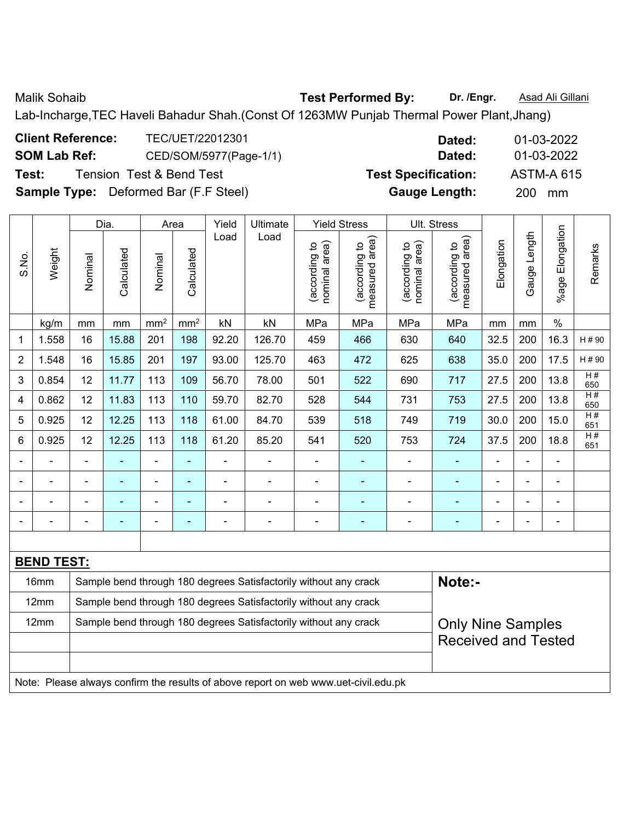Malik Sohaib **Test Performed By: Dr. /Engr.** Asad Ali Gillani

Lab-Incharge,TEC Haveli Bahadur Shah.(Const Of 1263MW Punjab Thermal Power Plant,Jhang)

| <b>Client Reference:</b> | TEC/UET/22012301                             | Dated:                     | 01-03-2022        |
|--------------------------|----------------------------------------------|----------------------------|-------------------|
| <b>SOM Lab Ref:</b>      | CED/SOM/5977(Page-1/1)                       | Dated:                     | 01-03-2022        |
| Test:                    | <b>Tension Test &amp; Bend Test</b>          | <b>Test Specification:</b> | <b>ASTM-A 615</b> |
|                          | <b>Sample Type:</b> Deformed Bar (F.F Steel) | <b>Gauge Length:</b>       | <b>200</b><br>mm  |

|                |                   |                | Dia.       | Area            |                          | Yield                    | Ultimate                                                         |                                | <b>Yield Stress</b>             |                                | Ult. Stress                        |            |                |                          |           |
|----------------|-------------------|----------------|------------|-----------------|--------------------------|--------------------------|------------------------------------------------------------------|--------------------------------|---------------------------------|--------------------------------|------------------------------------|------------|----------------|--------------------------|-----------|
| S.No.          | Weight            | Nominal        | Calculated | Nominal         | Calculated               | Load                     | Load                                                             | nominal area)<br>(according to | measured area)<br>(according to | (according to<br>nominal area) | area)<br>(according to<br>measured | Elongation | Gauge Length   | %age Elongation          | Remarks   |
|                | kg/m              | mm             | mm         | mm <sup>2</sup> | mm <sup>2</sup>          | kN                       | kN                                                               | MPa                            | MPa                             | MPa                            | MPa                                | mm         | mm             | $\%$                     |           |
| 1              | 1.558             | 16             | 15.88      | 201             | 198                      | 92.20                    | 126.70                                                           | 459                            | 466                             | 630                            | 640                                | 32.5       | 200            | 16.3                     | H # 90    |
| $\overline{2}$ | 1.548             | 16             | 15.85      | 201             | 197                      | 93.00                    | 125.70                                                           | 463                            | 472                             | 625                            | 638                                | 35.0       | 200            | 17.5                     | H#90      |
| 3              | 0.854             | 12             | 11.77      | 113             | 109                      | 56.70                    | 78.00                                                            | 501                            | 522                             | 690                            | 717                                | 27.5       | 200            | 13.8                     | H#<br>650 |
| 4              | 0.862             | 12             | 11.83      | 113             | 110                      | 59.70                    | 82.70                                                            | 528                            | 544                             | 731                            | 753                                | 27.5       | 200            | 13.8                     | H#<br>650 |
| 5              | 0.925             | 12             | 12.25      | 113             | 118                      | 61.00                    | 84.70                                                            | 539                            | 518                             | 749                            | 719                                | 30.0       | 200            | 15.0                     | H#<br>651 |
| 6              | 0.925             | 12             | 12.25      | 113             | 118                      | 61.20                    | 85.20                                                            | 541                            | 520                             | 753                            | 724                                | 37.5       | 200            | 18.8                     | H#<br>651 |
|                |                   |                |            | ÷,              | ٠                        |                          |                                                                  |                                |                                 |                                | $\blacksquare$                     |            |                | ä,                       |           |
|                |                   | $\blacksquare$ |            | ۰               | $\overline{\phantom{0}}$ | $\overline{\phantom{0}}$ | $\overline{a}$                                                   |                                | $\overline{\phantom{0}}$        | $\blacksquare$                 | $\blacksquare$                     |            | -              | $\blacksquare$           |           |
|                | -                 |                | Ē.         | ۰               | ٠                        | $\blacksquare$           | $\overline{a}$                                                   |                                | ۰                               | $\blacksquare$                 | $\blacksquare$                     | ÷          | $\blacksquare$ | $\blacksquare$           |           |
|                |                   |                |            | -               | ۰                        | -                        |                                                                  |                                |                                 |                                |                                    |            |                | $\overline{\phantom{0}}$ |           |
|                |                   |                |            |                 |                          |                          |                                                                  |                                |                                 |                                |                                    |            |                |                          |           |
|                | <b>BEND TEST:</b> |                |            |                 |                          |                          |                                                                  |                                |                                 |                                |                                    |            |                |                          |           |
|                | 16mm              |                |            |                 |                          |                          | Sample bend through 180 degrees Satisfactorily without any crack |                                |                                 |                                | Note:-                             |            |                |                          |           |
|                | 12mm              |                |            |                 |                          |                          | Sample bend through 180 degrees Satisfactorily without any crack |                                |                                 |                                |                                    |            |                |                          |           |
|                | 12mm              |                |            |                 |                          |                          | Sample bend through 180 degrees Satisfactorily without any crack |                                |                                 |                                | <b>Only Nine Samples</b>           |            |                |                          |           |
|                |                   |                |            |                 |                          |                          |                                                                  |                                |                                 |                                | <b>Received and Tested</b>         |            |                |                          |           |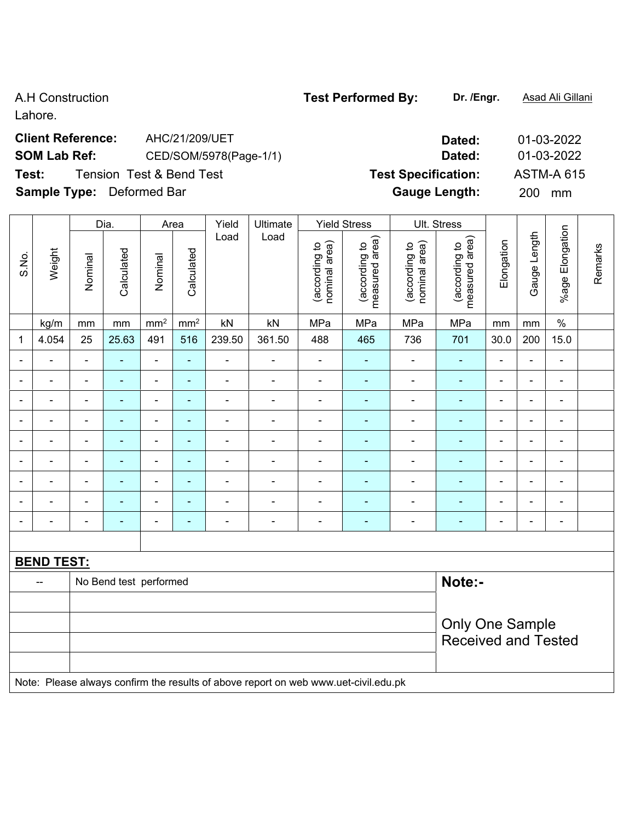Lahore.

## **Client Reference:** AHC/21/209/UET **Dated:** 01-03-2022 **SOM Lab Ref:** CED/SOM/5978(Page-1/1) **Dated:** 01-03-2022 **Test:** Tension Test & Bend Test **Test Specification:** ASTM-A 615 **Sample Type:** Deformed Bar **Gauge Length:** 200 mm

|              |                                                                                     | Dia.<br><b>Yield Stress</b><br>Ult. Stress<br>Area<br>Yield<br>Ultimate |                        |                |               |                          |                          |                                |                                    |                                |                                 |                          |                          |                          |         |
|--------------|-------------------------------------------------------------------------------------|-------------------------------------------------------------------------|------------------------|----------------|---------------|--------------------------|--------------------------|--------------------------------|------------------------------------|--------------------------------|---------------------------------|--------------------------|--------------------------|--------------------------|---------|
| S.No.        | Weight                                                                              | Nominal                                                                 | Calculated             | Nominal        | Calculated    | Load                     | Load                     | nominal area)<br>(according to | area)<br>(according to<br>measured | (according to<br>nominal area) | (according to<br>measured area) | Elongation               | Gauge Length             | %age Elongation          | Remarks |
|              | kg/m                                                                                | mm                                                                      | mm                     | $\text{mm}^2$  | $\text{mm}^2$ | kN                       | kN                       | MPa                            | MPa                                | MPa                            | MPa                             | mm                       | mm                       | $\%$                     |         |
| $\mathbf{1}$ | 4.054                                                                               | 25                                                                      | 25.63                  | 491            | 516           | 239.50                   | 361.50                   | 488                            | 465                                | 736                            | 701                             | 30.0                     | 200                      | 15.0                     |         |
|              |                                                                                     | ä,                                                                      |                        | $\blacksquare$ |               | ä,                       | $\blacksquare$           |                                | $\blacksquare$                     | $\blacksquare$                 | ä,                              | $\blacksquare$           | $\blacksquare$           | $\blacksquare$           |         |
|              |                                                                                     | $\blacksquare$                                                          | ÷,                     | $\blacksquare$ | ۰             | ä,                       | ÷,                       | $\blacksquare$                 | $\blacksquare$                     | $\blacksquare$                 | ÷                               | $\overline{\phantom{a}}$ | $\blacksquare$           | $\overline{\phantom{a}}$ |         |
|              | ۰                                                                                   | $\blacksquare$                                                          | $\blacksquare$         | $\blacksquare$ | ٠             | ÷,                       | $\overline{\phantom{a}}$ | $\blacksquare$                 | $\blacksquare$                     | $\blacksquare$                 | $\blacksquare$                  | $\overline{\phantom{a}}$ | $\blacksquare$           | $\blacksquare$           |         |
|              | $\blacksquare$                                                                      | ä,                                                                      | $\blacksquare$         | $\blacksquare$ | ۰             | $\overline{\phantom{a}}$ | ÷,                       | $\blacksquare$                 | $\blacksquare$                     | ÷,                             | ä,                              | $\blacksquare$           | $\blacksquare$           | $\blacksquare$           |         |
|              |                                                                                     |                                                                         | ä,                     | ÷              | ۰             | ä,                       | $\blacksquare$           | L,                             | $\blacksquare$                     | $\blacksquare$                 | ä,                              | $\blacksquare$           | $\blacksquare$           | $\blacksquare$           |         |
|              |                                                                                     |                                                                         |                        |                | ÷             |                          | $\blacksquare$           |                                |                                    | $\blacksquare$                 | $\blacksquare$                  | $\blacksquare$           | $\blacksquare$           |                          |         |
|              |                                                                                     |                                                                         | $\blacksquare$         | $\overline{a}$ |               | $\blacksquare$           | $\blacksquare$           | $\blacksquare$                 | $\overline{\phantom{a}}$           | $\blacksquare$                 | $\blacksquare$                  | $\blacksquare$           | $\overline{\phantom{a}}$ | $\blacksquare$           |         |
|              | ÷                                                                                   | $\blacksquare$                                                          | ÷                      | $\blacksquare$ | ۰             | L                        | $\blacksquare$           | Ē,                             | $\blacksquare$                     | $\blacksquare$                 | $\blacksquare$                  | $\blacksquare$           | $\blacksquare$           | $\blacksquare$           |         |
|              |                                                                                     | $\blacksquare$                                                          | $\blacksquare$         | $\blacksquare$ | ۰             | ۰                        | $\blacksquare$           | $\blacksquare$                 | $\overline{\phantom{a}}$           | $\blacksquare$                 | ٠                               | $\blacksquare$           | $\frac{1}{2}$            | $\frac{1}{2}$            |         |
|              |                                                                                     |                                                                         |                        |                |               |                          |                          |                                |                                    |                                |                                 |                          |                          |                          |         |
|              | <b>BEND TEST:</b>                                                                   |                                                                         |                        |                |               |                          |                          |                                |                                    |                                |                                 |                          |                          |                          |         |
|              | --                                                                                  |                                                                         | No Bend test performed |                |               |                          |                          |                                |                                    |                                | Note:-                          |                          |                          |                          |         |
|              |                                                                                     |                                                                         |                        |                |               |                          |                          |                                |                                    |                                |                                 |                          |                          |                          |         |
|              |                                                                                     | <b>Only One Sample</b>                                                  |                        |                |               |                          |                          |                                |                                    |                                |                                 |                          |                          |                          |         |
|              |                                                                                     |                                                                         |                        |                |               |                          |                          |                                |                                    |                                | <b>Received and Tested</b>      |                          |                          |                          |         |
|              |                                                                                     |                                                                         |                        |                |               |                          |                          |                                |                                    |                                |                                 |                          |                          |                          |         |
|              | Note: Please always confirm the results of above report on web www.uet-civil.edu.pk |                                                                         |                        |                |               |                          |                          |                                |                                    |                                |                                 |                          |                          |                          |         |

| <b>VIIVIIIIVU PY.</b> | ----- |
|-----------------------|-------|
|                       |       |
|                       |       |
|                       |       |

A.H Construction **Test Performed By: Dr. /Engr.** Asad Ali Gillani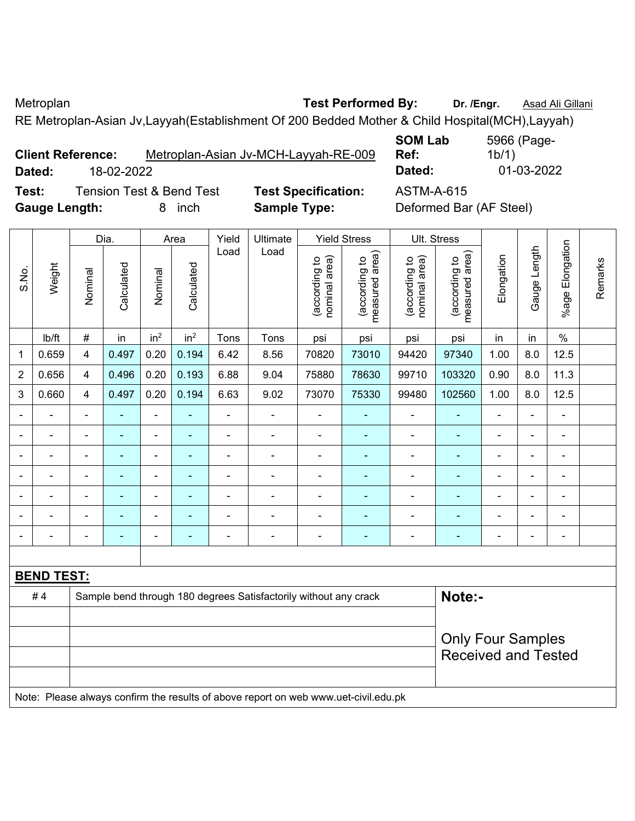Metroplan **Metroplan Test Performed By:** Dr. /Engr. **Asad Ali Gillani** 

**SOM Lab** 

RE Metroplan-Asian Jv,Layyah(Establishment Of 200 Bedded Mother & Child Hospital(MCH),Layyah)

**Client Reference:** Metroplan-Asian Jv-MCH-Layyah-RE-009 **Dated:** 18-02-2022 **Dated:** 01-03-2022

**Ref:**  1b/1)

5966 (Page-

**Test:** Tension Test & Bend Test **Test Specification:** ASTM-A-615 **Gauge Length:** 8 inch **Sample Type:** Deformed Bar (AF Steel)

|                |                   |                | Dia.           |                 | Area            | Yield          | Ultimate                                                                            |                                | <b>Yield Stress</b>             |                                | Ult. Stress                     |                |                |                    |         |
|----------------|-------------------|----------------|----------------|-----------------|-----------------|----------------|-------------------------------------------------------------------------------------|--------------------------------|---------------------------------|--------------------------------|---------------------------------|----------------|----------------|--------------------|---------|
| S.No.          | Weight            | Nominal        | Calculated     | Nominal         | Calculated      | Load           | Load                                                                                | nominal area)<br>(according to | (according to<br>measured area) | (according to<br>nominal area) | (according to<br>measured area) | Elongation     | Gauge Length   | Elongation<br>%age | Remarks |
|                | Ib/ft             | $\#$           | in             | in <sup>2</sup> | in <sup>2</sup> | Tons           | Tons                                                                                | psi                            | psi                             | psi                            | psi                             | in             | in             | $\%$               |         |
| 1              | 0.659             | 4              | 0.497          | 0.20            | 0.194           | 6.42           | 8.56                                                                                | 70820                          | 73010                           | 94420                          | 97340                           | 1.00           | 8.0            | 12.5               |         |
| $\overline{2}$ | 0.656             | 4              | 0.496          | 0.20            | 0.193           | 6.88           | 9.04                                                                                | 75880                          | 78630                           | 99710                          | 103320                          | 0.90           | 8.0            | 11.3               |         |
| 3              | 0.660             | 4              | 0.497          | 0.20            | 0.194           | 6.63           | 9.02                                                                                | 73070                          | 75330                           | 99480                          | 102560                          | 1.00           | 8.0            | 12.5               |         |
|                |                   |                | $\blacksquare$ | ÷               | ä,              | $\blacksquare$ | ÷                                                                                   | $\blacksquare$                 |                                 |                                |                                 | ÷              | ÷,             | $\blacksquare$     |         |
| ٠              |                   | L,             | $\blacksquare$ | $\blacksquare$  | ä,              | $\blacksquare$ | $\overline{\phantom{0}}$                                                            | $\blacksquare$                 |                                 | $\blacksquare$                 | ä,                              | $\blacksquare$ | ä,             | $\blacksquare$     |         |
|                |                   | $\blacksquare$ | $\blacksquare$ | $\blacksquare$  | $\blacksquare$  | $\blacksquare$ | $\overline{\phantom{0}}$                                                            | $\blacksquare$                 | $\blacksquare$                  | $\blacksquare$                 | $\blacksquare$                  | ÷,             | $\blacksquare$ | $\blacksquare$     |         |
|                | $\blacksquare$    | L,             | ä,             | $\blacksquare$  | ä,              | ä,             | Ē,                                                                                  | $\blacksquare$                 | ÷,                              | $\blacksquare$                 | ä,                              | $\blacksquare$ | ÷,             | $\blacksquare$     |         |
|                |                   |                | ۰              | $\blacksquare$  | ۰               |                |                                                                                     |                                |                                 |                                | Ē.                              | ÷              |                | $\blacksquare$     |         |
|                |                   |                |                |                 |                 |                |                                                                                     |                                |                                 |                                | ÷                               |                |                |                    |         |
|                |                   |                |                | -               | Ē.              |                |                                                                                     |                                |                                 |                                | Ē.                              | ۰              |                | $\blacksquare$     |         |
|                |                   |                |                |                 |                 |                |                                                                                     |                                |                                 |                                |                                 |                |                |                    |         |
|                | <b>BEND TEST:</b> |                |                |                 |                 |                |                                                                                     |                                |                                 |                                |                                 |                |                |                    |         |
|                | #4                |                |                |                 |                 |                | Sample bend through 180 degrees Satisfactorily without any crack                    |                                |                                 |                                | Note:-                          |                |                |                    |         |
|                |                   |                |                |                 |                 |                |                                                                                     |                                |                                 |                                |                                 |                |                |                    |         |
|                |                   |                |                |                 |                 |                |                                                                                     |                                |                                 |                                | <b>Only Four Samples</b>        |                |                |                    |         |
|                |                   |                |                |                 |                 |                |                                                                                     |                                |                                 |                                | <b>Received and Tested</b>      |                |                |                    |         |
|                |                   |                |                |                 |                 |                |                                                                                     |                                |                                 |                                |                                 |                |                |                    |         |
|                |                   |                |                |                 |                 |                | Note: Please always confirm the results of above report on web www.uet-civil.edu.pk |                                |                                 |                                |                                 |                |                |                    |         |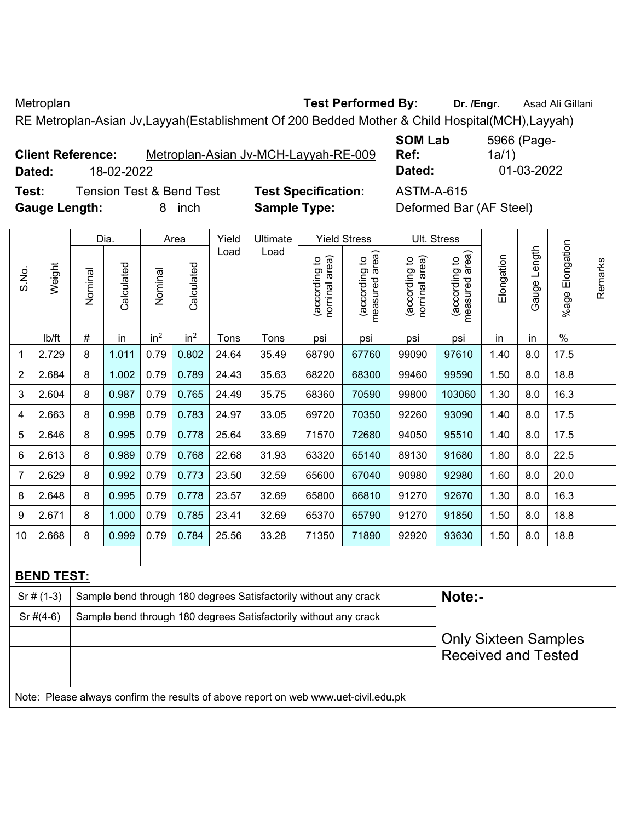Metroplan **Test Performed By: Dr. /Engr.** Asad Ali Gillani

**SOM Lab** 

5966 (Page-

RE Metroplan-Asian Jv,Layyah(Establishment Of 200 Bedded Mother & Child Hospital(MCH),Layyah)

| <b>Client Reference:</b> |            | Metroplan-Asian Jv-MCH-Layyah-RE-009 |
|--------------------------|------------|--------------------------------------|
| Dated:                   | 18-02-2022 |                                      |

**Ref:**  1a/1) **Dated:** 18-02-2022 **Dated:** 01-03-2022

**Test:** Tension Test & Bend Test **Test Specification:** ASTM-A-615 **Gauge Length:** 8 inch **Sample Type:** Deformed Bar (AF Steel)

|                |                   |         | Dia.       |                 | Area            | Yield | Ultimate                                                                            |                                | <b>Yield Stress</b>             |                                | Ult. Stress                                               |            |              |                       |         |
|----------------|-------------------|---------|------------|-----------------|-----------------|-------|-------------------------------------------------------------------------------------|--------------------------------|---------------------------------|--------------------------------|-----------------------------------------------------------|------------|--------------|-----------------------|---------|
| S.No.          | Weight            | Nominal | Calculated | Nominal         | Calculated      | Load  | Load                                                                                | nominal area)<br>(according to | (according to<br>measured area) | nominal area)<br>(according to | (according to<br>measured area)<br>measured               | Elongation | Gauge Length | Elongation<br>$%$ age | Remarks |
|                | lb/ft             | $\#$    | in         | in <sup>2</sup> | in <sup>2</sup> | Tons  | Tons                                                                                | psi                            | psi                             | psi                            | psi                                                       | in         | in           | $\%$                  |         |
| 1              | 2.729             | 8       | 1.011      | 0.79            | 0.802           | 24.64 | 35.49                                                                               | 68790                          | 67760                           | 99090                          | 97610                                                     | 1.40       | 8.0          | 17.5                  |         |
| $\overline{2}$ | 2.684             | 8       | 1.002      | 0.79            | 0.789           | 24.43 | 35.63                                                                               | 68220                          | 68300                           | 99460                          | 99590                                                     | 1.50       | 8.0          | 18.8                  |         |
| 3              | 2.604             | 8       | 0.987      | 0.79            | 0.765           | 24.49 | 35.75                                                                               | 68360                          | 70590                           | 99800                          | 103060                                                    | 1.30       | 8.0          | 16.3                  |         |
| 4              | 2.663             | 8       | 0.998      | 0.79            | 0.783           | 24.97 | 33.05                                                                               | 69720                          | 70350                           | 92260                          | 93090                                                     | 1.40       | 8.0          | 17.5                  |         |
| 5              | 2.646             | 8       | 0.995      | 0.79            | 0.778           | 25.64 | 33.69                                                                               | 71570                          | 72680                           | 94050                          | 95510                                                     | 1.40       | 8.0          | 17.5                  |         |
| 6              | 2.613             | 8       | 0.989      | 0.79            | 0.768           | 22.68 | 31.93                                                                               | 63320                          | 65140                           | 89130                          | 91680                                                     | 1.80       | 8.0          | 22.5                  |         |
| $\overline{7}$ | 2.629             | 8       | 0.992      | 0.79            | 0.773           | 23.50 | 32.59                                                                               | 65600                          | 67040                           | 90980                          | 92980                                                     | 1.60       | 8.0          | 20.0                  |         |
| 8              | 2.648             | 8       | 0.995      | 0.79            | 0.778           | 23.57 | 32.69                                                                               | 65800                          | 66810                           | 91270                          | 92670                                                     | 1.30       | 8.0          | 16.3                  |         |
| 9              | 2.671             | 8       | 1.000      | 0.79            | 0.785           | 23.41 | 32.69                                                                               | 65370                          | 65790                           | 91270                          | 91850                                                     | 1.50       | 8.0          | 18.8                  |         |
| 10             | 2.668             | 8       | 0.999      | 0.79            | 0.784           | 25.56 | 33.28                                                                               | 71350                          | 71890                           | 92920                          | 93630                                                     | 1.50       | 8.0          | 18.8                  |         |
|                |                   |         |            |                 |                 |       |                                                                                     |                                |                                 |                                |                                                           |            |              |                       |         |
|                | <b>BEND TEST:</b> |         |            |                 |                 |       |                                                                                     |                                |                                 |                                |                                                           |            |              |                       |         |
|                | $Sr#(1-3)$        |         |            |                 |                 |       | Sample bend through 180 degrees Satisfactorily without any crack                    |                                |                                 |                                | Note:-                                                    |            |              |                       |         |
|                | $Sr$ #(4-6)       |         |            |                 |                 |       | Sample bend through 180 degrees Satisfactorily without any crack                    |                                |                                 |                                |                                                           |            |              |                       |         |
|                |                   |         |            |                 |                 |       |                                                                                     |                                |                                 |                                | <b>Only Sixteen Samples</b><br><b>Received and Tested</b> |            |              |                       |         |
|                |                   |         |            |                 |                 |       | Note: Please always confirm the results of above report on web www.uet-civil.edu.pk |                                |                                 |                                |                                                           |            |              |                       |         |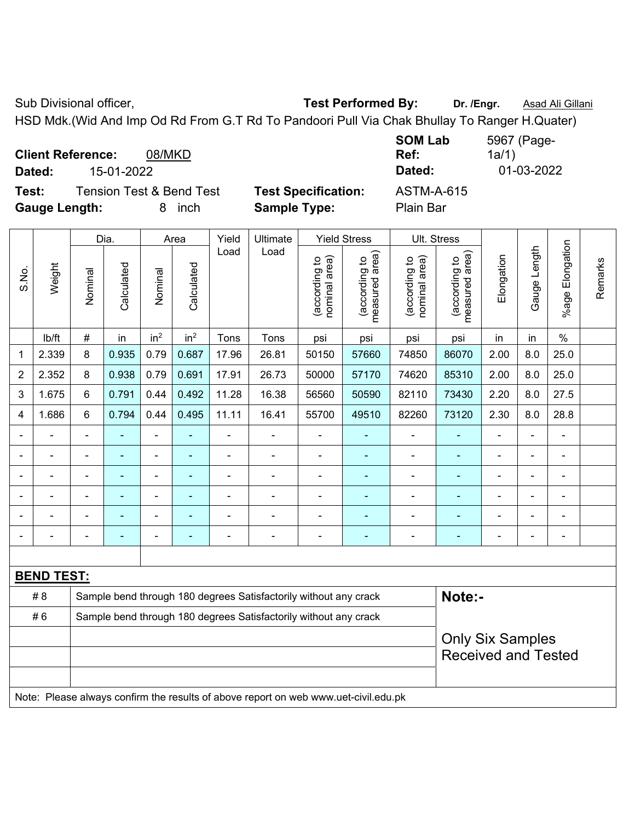Sub Divisional officer, **Test Performed By:** Dr. /Engr. **Asad Ali Gillani** Company Company Company Company Company

HSD Mdk.(Wid And Imp Od Rd From G.T Rd To Pandoori Pull Via Chak Bhullay To Ranger H.Quater)

**Client Reference:** 08/MKD **Dated:** 15-01-2022 **Dated:** 01-03-2022 **Test:** Tension Test & Bend Test **Test Specification:** ASTM-A-615

**Gauge Length:** 8 inch **Sample Type:** Plain Bar

**SOM Lab Ref:**  5967 (Page-1a/1)

|                              |                   |                | Dia.       |                 | Area            | Yield          | Ultimate                                                                            |                                | <b>Yield Stress</b>             |                                | Ult. Stress                     |                          |                |                 |         |
|------------------------------|-------------------|----------------|------------|-----------------|-----------------|----------------|-------------------------------------------------------------------------------------|--------------------------------|---------------------------------|--------------------------------|---------------------------------|--------------------------|----------------|-----------------|---------|
| S.No.                        | Weight            | Nominal        | Calculated | Nominal         | Calculated      | Load           | Load                                                                                | nominal area)<br>(according to | (according to<br>measured area) | (according to<br>nominal area) | measured area)<br>(according to | Elongation               | Gauge Length   | %age Elongation | Remarks |
|                              | lb/ft             | #              | in         | in <sup>2</sup> | in <sup>2</sup> | Tons           | Tons                                                                                | psi                            | psi                             | psi                            | psi                             | in                       | in             | $\%$            |         |
| 1                            | 2.339             | 8              | 0.935      | 0.79            | 0.687           | 17.96          | 26.81                                                                               | 50150                          | 57660                           | 74850                          | 86070                           | 2.00                     | 8.0            | 25.0            |         |
| $\overline{2}$               | 2.352             | 8              | 0.938      | 0.79            | 0.691           | 17.91          | 26.73                                                                               | 50000                          | 57170                           | 74620                          | 85310                           | 2.00                     | 8.0            | 25.0            |         |
| 3                            | 1.675             | 6              | 0.791      | 0.44            | 0.492           | 11.28          | 16.38                                                                               | 56560                          | 50590                           | 82110                          | 73430                           | 2.20                     | 8.0            | 27.5            |         |
| 4                            | 1.686             | 6              | 0.794      | 0.44            | 0.495           | 11.11          | 16.41                                                                               | 55700                          | 49510                           | 82260                          | 73120                           | 2.30                     | 8.0            | 28.8            |         |
| $\blacksquare$               |                   |                |            | $\blacksquare$  |                 |                |                                                                                     | $\blacksquare$                 |                                 | ä,                             |                                 |                          |                |                 |         |
| $\qquad \qquad \blacksquare$ | $\blacksquare$    | $\blacksquare$ | ۰          | $\blacksquare$  | ÷,              | $\blacksquare$ | $\blacksquare$                                                                      | $\blacksquare$                 | ۰                               | ۰                              | ÷,                              | $\blacksquare$           | $\blacksquare$ | $\blacksquare$  |         |
| $\blacksquare$               | $\blacksquare$    | $\blacksquare$ | L,         | ä,              | ä,              | L,             | $\blacksquare$                                                                      | $\blacksquare$                 | $\blacksquare$                  | ÷,                             | ÷,                              | $\blacksquare$           |                | $\blacksquare$  |         |
| $\overline{\phantom{a}}$     | $\blacksquare$    | $\blacksquare$ | ÷,         | ÷,              | ÷               | $\blacksquare$ | $\blacksquare$                                                                      | $\blacksquare$                 | ۰                               | ÷,                             | ÷,                              | $\overline{\phantom{a}}$ | $\blacksquare$ | $\blacksquare$  |         |
|                              | $\blacksquare$    | $\blacksquare$ | ÷          | ä,              | ÷               | Ē,             | $\blacksquare$                                                                      | $\blacksquare$                 | ٠                               | $\blacksquare$                 | $\blacksquare$                  | $\blacksquare$           |                | $\blacksquare$  |         |
|                              |                   | Ē,             | ä,         | ÷               | ä,              | Ē,             | $\blacksquare$                                                                      | $\blacksquare$                 | ÷                               | $\blacksquare$                 | ÷,                              | ÷                        |                | $\blacksquare$  |         |
|                              |                   |                |            |                 |                 |                |                                                                                     |                                |                                 |                                |                                 |                          |                |                 |         |
|                              | <b>BEND TEST:</b> |                |            |                 |                 |                |                                                                                     |                                |                                 |                                |                                 |                          |                |                 |         |
|                              | # 8               |                |            |                 |                 |                | Sample bend through 180 degrees Satisfactorily without any crack                    |                                |                                 |                                | Note:-                          |                          |                |                 |         |
|                              | #6                |                |            |                 |                 |                | Sample bend through 180 degrees Satisfactorily without any crack                    |                                |                                 |                                |                                 |                          |                |                 |         |
|                              |                   |                |            |                 |                 |                |                                                                                     |                                |                                 |                                | <b>Only Six Samples</b>         |                          |                |                 |         |
|                              |                   |                |            |                 |                 |                |                                                                                     |                                |                                 |                                | <b>Received and Tested</b>      |                          |                |                 |         |
|                              |                   |                |            |                 |                 |                |                                                                                     |                                |                                 |                                |                                 |                          |                |                 |         |
|                              |                   |                |            |                 |                 |                | Note: Please always confirm the results of above report on web www.uet-civil.edu.pk |                                |                                 |                                |                                 |                          |                |                 |         |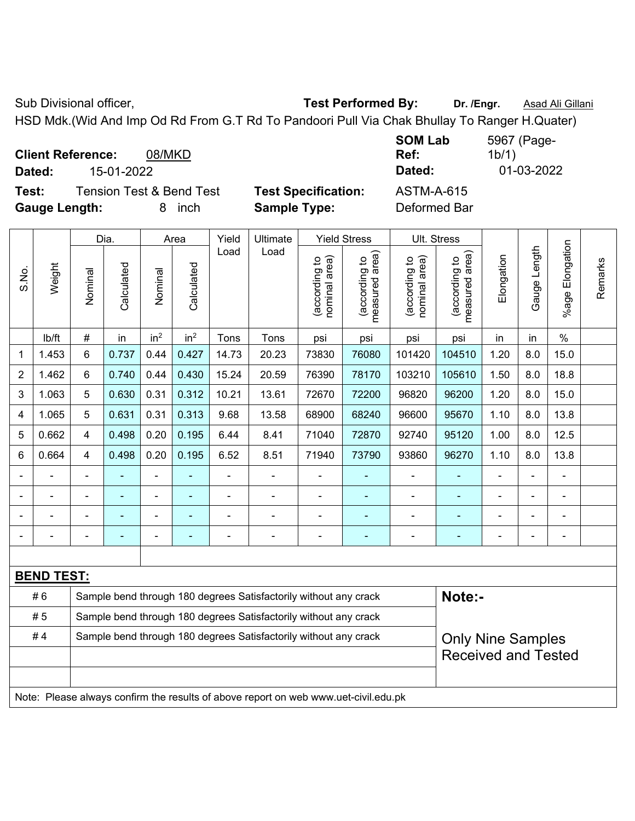Sub Divisional officer, **Test Performed By:** Dr. /Engr. **Asad Ali Gillani** Associated By: Dr. /Engr. **Asad Ali Gillani** 

HSD Mdk.(Wid And Imp Od Rd From G.T Rd To Pandoori Pull Via Chak Bhullay To Ranger H.Quater)

**Client Reference:** 08/MKD **Dated:** 15-01-2022 **Dated:** 01-03-2022 **Test:** Tension Test & Bend Test **Test Specification:** ASTM-A-615

**Gauge Length:** 8 inch **Sample Type:** Deformed Bar

1b/1)

|                |                   |                | Dia.           |                 | Area            | Yield          | Ultimate                                                                            |                                | <b>Yield Stress</b>             |                                | Ult. Stress                     |                |              |                 |         |
|----------------|-------------------|----------------|----------------|-----------------|-----------------|----------------|-------------------------------------------------------------------------------------|--------------------------------|---------------------------------|--------------------------------|---------------------------------|----------------|--------------|-----------------|---------|
| S.No.          | Weight            | Nominal        | Calculated     | Nominal         | Calculated      | Load           | Load                                                                                | nominal area)<br>(according to | (according to<br>measured area) | (according to<br>nominal area) | (according to<br>measured area) | Elongation     | Gauge Length | %age Elongation | Remarks |
|                | lb/ft             | #              | in             | in <sup>2</sup> | in <sup>2</sup> | Tons           | Tons                                                                                | psi                            | psi                             | psi                            | psi                             | in             | in           | $\%$            |         |
| 1              | 1.453             | 6              | 0.737          | 0.44            | 0.427           | 14.73          | 20.23                                                                               | 73830                          | 76080                           | 101420                         | 104510                          | 1.20           | 8.0          | 15.0            |         |
| $\overline{2}$ | 1.462             | 6              | 0.740          | 0.44            | 0.430           | 15.24          | 20.59                                                                               | 76390                          | 78170                           | 103210                         | 105610                          | 1.50           | 8.0          | 18.8            |         |
| 3              | 1.063             | 5              | 0.630          | 0.31            | 0.312           | 10.21          | 13.61                                                                               | 72670                          | 72200                           | 96820                          | 96200                           | 1.20           | 8.0          | 15.0            |         |
| 4              | 1.065             | 5              | 0.631          | 0.31            | 0.313           | 9.68           | 13.58                                                                               | 68900                          | 68240                           | 96600                          | 95670                           | 1.10           | 8.0          | 13.8            |         |
| 5              | 0.662             | 4              | 0.498          | 0.20            | 0.195           | 6.44           | 8.41                                                                                | 71040                          | 72870                           | 92740                          | 95120                           | 1.00           | 8.0          | 12.5            |         |
| 6              | 0.664             | $\overline{4}$ | 0.498          | 0.20            | 0.195           | 6.52           | 8.51                                                                                | 71940                          | 73790                           | 93860                          | 96270                           | 1.10           | 8.0          | 13.8            |         |
|                |                   | $\blacksquare$ | ä,             | $\blacksquare$  | $\blacksquare$  | $\blacksquare$ | $\overline{\phantom{a}}$                                                            | $\blacksquare$                 | ۰                               | $\blacksquare$                 | ÷                               |                |              | $\blacksquare$  |         |
|                | $\blacksquare$    | $\blacksquare$ | $\blacksquare$ | $\blacksquare$  | $\blacksquare$  | $\blacksquare$ | $\blacksquare$                                                                      | $\blacksquare$                 | ۰                               | $\blacksquare$                 | $\blacksquare$                  | $\blacksquare$ | ä,           | $\blacksquare$  |         |
|                |                   | $\blacksquare$ | ä,             | ÷,              | ÷               | ä,             | ÷                                                                                   | $\blacksquare$                 | ÷                               | $\blacksquare$                 | ۰                               |                |              | ÷               |         |
|                |                   |                |                |                 |                 |                | $\blacksquare$                                                                      | $\blacksquare$                 | $\blacksquare$                  | $\blacksquare$                 | ۰                               |                |              |                 |         |
|                |                   |                |                |                 |                 |                |                                                                                     |                                |                                 |                                |                                 |                |              |                 |         |
|                | <b>BEND TEST:</b> |                |                |                 |                 |                |                                                                                     |                                |                                 |                                |                                 |                |              |                 |         |
|                | #6                |                |                |                 |                 |                | Sample bend through 180 degrees Satisfactorily without any crack                    |                                |                                 |                                | Note:-                          |                |              |                 |         |
|                | #5                |                |                |                 |                 |                | Sample bend through 180 degrees Satisfactorily without any crack                    |                                |                                 |                                |                                 |                |              |                 |         |
|                | #4                |                |                |                 |                 |                | Sample bend through 180 degrees Satisfactorily without any crack                    |                                |                                 |                                | <b>Only Nine Samples</b>        |                |              |                 |         |
|                |                   |                |                |                 |                 |                |                                                                                     |                                |                                 |                                | <b>Received and Tested</b>      |                |              |                 |         |
|                |                   |                |                |                 |                 |                |                                                                                     |                                |                                 |                                |                                 |                |              |                 |         |
|                |                   |                |                |                 |                 |                | Note: Please always confirm the results of above report on web www.uet-civil.edu.pk |                                |                                 |                                |                                 |                |              |                 |         |

**SOM Lab Ref:**  5967 (Page-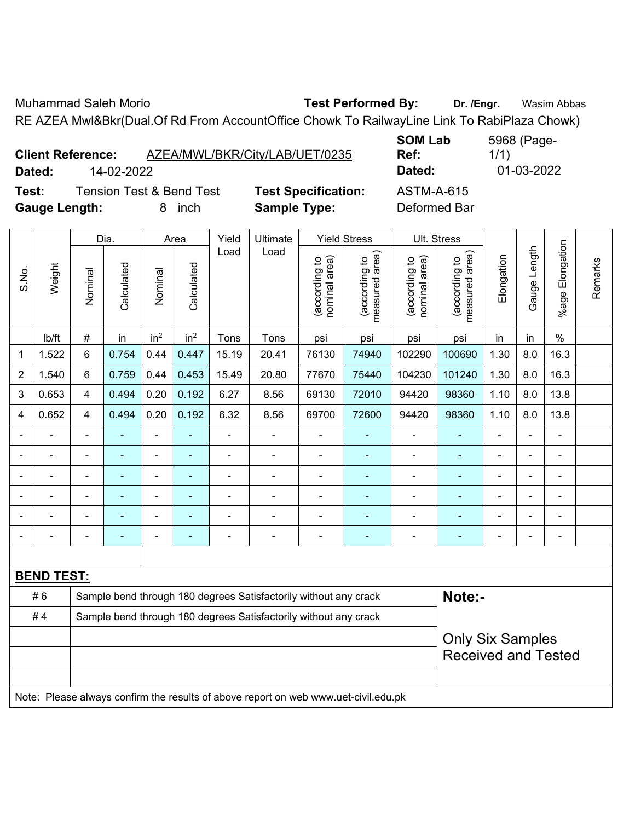Muhammad Saleh Morio **Test Performed By: Dr. /Engr.** Wasim Abbas

RE AZEA Mwl&Bkr(Dual.Of Rd From AccountOffice Chowk To RailwayLine Link To RabiPlaza Chowk)

|        | <b>Client Reference:</b>            | AZEA/MWL/BKR/City/LAB/UET/0235 | uv.<br>Ref      |
|--------|-------------------------------------|--------------------------------|-----------------|
| Dated: | 14-02-2022                          |                                | Dat             |
| Test:  | <b>Tension Test &amp; Bend Test</b> | <b>Test Specification:</b>     | AS <sup>-</sup> |

**SOM Lab Ref:**  5968 (Page-1/1) **Dated:** 14-02-2022 **Dated:** 01-03-2022 **TM-A-615** 

**Gauge Length:** 8 inch **Sample Type:** Deformed Bar

|                |                   |                                                                  | Dia.           |                 | Area            | Yield          | <b>Yield Stress</b>                                                                 | Ult. Stress                    |                                 |                                |                                 |                |                |                       |         |
|----------------|-------------------|------------------------------------------------------------------|----------------|-----------------|-----------------|----------------|-------------------------------------------------------------------------------------|--------------------------------|---------------------------------|--------------------------------|---------------------------------|----------------|----------------|-----------------------|---------|
| S.No.          | Weight            | Nominal                                                          | Calculated     | Nominal         | Calculated      | Load           | Load                                                                                | (according to<br>nominal area) | measured area)<br>(according to | nominal area)<br>(according to | (according to<br>measured area) | Elongation     | Gauge Length   | Elongation<br>$%$ age | Remarks |
|                | lb/ft             | $\#$                                                             | in             | in <sup>2</sup> | in <sup>2</sup> | Tons           | Tons                                                                                | psi                            | psi                             | psi                            | psi                             | in             | in             | $\%$                  |         |
| $\mathbf{1}$   | 1.522             | 6                                                                | 0.754          | 0.44            | 0.447           | 15.19          | 20.41                                                                               | 76130                          | 74940                           | 102290                         | 100690                          | 1.30           | 8.0            | 16.3                  |         |
| $\overline{2}$ | 1.540             | 6                                                                | 0.759          | 0.44            | 0.453           | 15.49          | 20.80                                                                               | 77670                          | 75440                           | 104230                         | 101240                          | 1.30           | 8.0            | 16.3                  |         |
| 3              | 0.653             | $\overline{4}$                                                   | 0.494          | 0.20            | 0.192           | 6.27           | 8.56                                                                                | 69130                          | 72010                           | 94420                          | 98360                           | 1.10           | 8.0            | 13.8                  |         |
| $\overline{4}$ | 0.652             | $\overline{4}$                                                   | 0.494          | 0.20            | 0.192           | 6.32           | 8.56                                                                                | 69700                          | 72600                           | 94420                          | 98360                           | 1.10           | 8.0            | 13.8                  |         |
|                |                   | $\frac{1}{2}$                                                    | $\blacksquare$ | $\blacksquare$  | ÷,              | ä,             | $\qquad \qquad \blacksquare$                                                        | $\qquad \qquad \blacksquare$   | $\blacksquare$                  | $\blacksquare$                 | $\blacksquare$                  | $\blacksquare$ | $\overline{a}$ | $\blacksquare$        |         |
|                |                   | ÷                                                                | $\blacksquare$ | $\blacksquare$  | $\blacksquare$  | $\blacksquare$ | $\frac{1}{2}$                                                                       | $\blacksquare$                 | $\blacksquare$                  | ä,                             | ÷                               | ÷              | $\blacksquare$ | $\blacksquare$        |         |
|                |                   | $\blacksquare$                                                   | $\blacksquare$ | $\overline{a}$  | $\blacksquare$  | $\blacksquare$ | $\qquad \qquad \blacksquare$                                                        | $\blacksquare$                 | $\blacksquare$                  | $\overline{a}$                 | $\blacksquare$                  | ÷              | ÷,             | $\blacksquare$        |         |
|                |                   |                                                                  |                |                 |                 |                | ÷                                                                                   | ÷,                             | $\blacksquare$                  |                                |                                 |                |                | $\blacksquare$        |         |
|                |                   |                                                                  |                |                 |                 |                | $\blacksquare$                                                                      |                                |                                 | $\blacksquare$                 |                                 |                |                |                       |         |
|                |                   | $\blacksquare$                                                   | $\blacksquare$ | $\blacksquare$  | Ē.              | $\blacksquare$ | $\qquad \qquad \blacksquare$                                                        | $\blacksquare$                 | Ē,                              | $\blacksquare$                 | ÷                               | $\blacksquare$ | $\blacksquare$ | $\blacksquare$        |         |
|                |                   |                                                                  |                |                 |                 |                |                                                                                     |                                |                                 |                                |                                 |                |                |                       |         |
|                | <b>BEND TEST:</b> |                                                                  |                |                 |                 |                |                                                                                     |                                |                                 |                                |                                 |                |                |                       |         |
|                | #6                |                                                                  |                |                 |                 |                | Sample bend through 180 degrees Satisfactorily without any crack                    |                                |                                 |                                | Note:-                          |                |                |                       |         |
|                | #4                | Sample bend through 180 degrees Satisfactorily without any crack |                |                 |                 |                |                                                                                     |                                |                                 |                                |                                 |                |                |                       |         |
|                |                   |                                                                  |                |                 |                 |                |                                                                                     |                                |                                 |                                | <b>Only Six Samples</b>         |                |                |                       |         |
|                |                   |                                                                  |                |                 |                 |                |                                                                                     |                                |                                 |                                | <b>Received and Tested</b>      |                |                |                       |         |
|                |                   |                                                                  |                |                 |                 |                |                                                                                     |                                |                                 |                                |                                 |                |                |                       |         |
|                |                   |                                                                  |                |                 |                 |                | Note: Please always confirm the results of above report on web www.uet-civil.edu.pk |                                |                                 |                                |                                 |                |                |                       |         |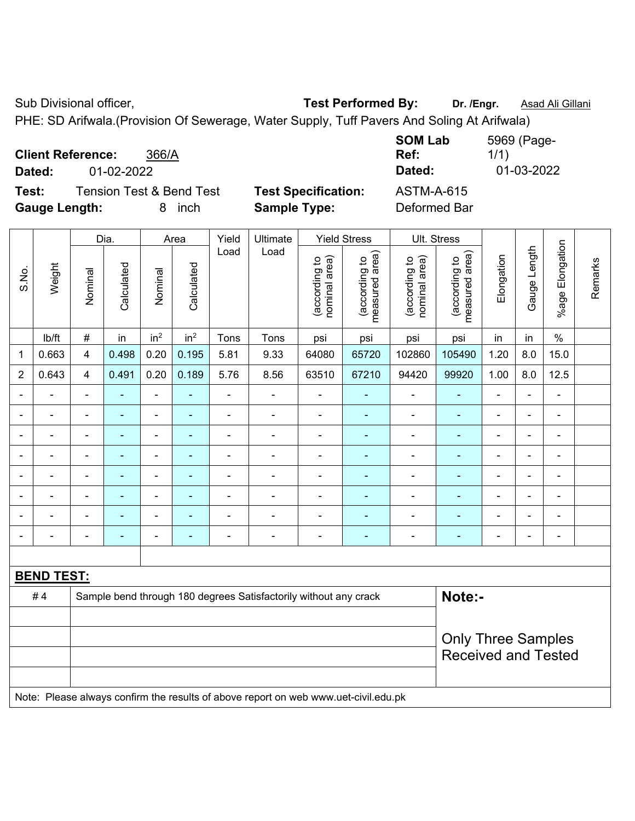Sub Divisional officer, **Test Performed By:** Dr. /Engr. **Asad Ali Gillani** Associated By: Dr. /Engr. **Asad Ali Gillani** 

PHE: SD Arifwala.(Provision Of Sewerage, Water Supply, Tuff Pavers And Soling At Arifwala)

|               | <b>Client Reference:</b> | 366/A                               |                            | <b>SOM Lab</b><br>Ref: | 5969 (Page-<br>1/1) |
|---------------|--------------------------|-------------------------------------|----------------------------|------------------------|---------------------|
| Dated:        | 01-02-2022               |                                     |                            | Dated:                 | 01-03-2022          |
| Test:         |                          | <b>Tension Test &amp; Bend Test</b> | <b>Test Specification:</b> | <b>ASTM-A-615</b>      |                     |
| Gauge Length: |                          | inch                                | <b>Sample Type:</b>        | Deformed Bar           |                     |

|                |                   |                                                                            | Dia.                     |                 | Area                     | Yield          | Ultimate                                                                            |                                | <b>Yield Stress</b>             |                                | Ult. Stress                     |                |                |                          |         |
|----------------|-------------------|----------------------------------------------------------------------------|--------------------------|-----------------|--------------------------|----------------|-------------------------------------------------------------------------------------|--------------------------------|---------------------------------|--------------------------------|---------------------------------|----------------|----------------|--------------------------|---------|
| S.No.          | Weight            | Nominal                                                                    | Calculated               | Nominal         | Calculated               | Load           | Load                                                                                | nominal area)<br>(according to | (according to<br>measured area) | nominal area)<br>(according to | (according to<br>measured area) | Elongation     | Gauge Length   | %age Elongation          | Remarks |
|                | Ib/ft             | $\#$                                                                       | in                       | in <sup>2</sup> | in <sup>2</sup>          | Tons           | Tons                                                                                | psi                            | psi                             | psi                            | psi                             | in             | in             | $\%$                     |         |
| 1              | 0.663             | $\overline{\mathbf{4}}$                                                    | 0.498                    | 0.20            | 0.195                    | 5.81           | 9.33                                                                                | 64080                          | 65720                           | 102860                         | 105490                          | 1.20           | 8.0            | 15.0                     |         |
| $\overline{2}$ | 0.643             | $\overline{4}$                                                             | 0.491                    | 0.20            | 0.189                    | 5.76           | 8.56                                                                                | 63510                          | 67210                           | 94420                          | 99920                           | 1.00           | 8.0            | 12.5                     |         |
|                |                   | $\blacksquare$                                                             | ä,                       | $\blacksquare$  | $\blacksquare$           | $\blacksquare$ |                                                                                     | $\overline{\phantom{a}}$       | $\blacksquare$                  | ä,                             |                                 | $\overline{a}$ | $\blacksquare$ | ä,                       |         |
|                |                   | $\blacksquare$                                                             | ä,                       | $\blacksquare$  | $\blacksquare$           | $\blacksquare$ | $\blacksquare$                                                                      | $\overline{\phantom{a}}$       | $\blacksquare$                  | ä,                             | ٠                               | ä,             | $\blacksquare$ | $\blacksquare$           |         |
|                |                   | $\blacksquare$                                                             | $\blacksquare$           | $\blacksquare$  | $\overline{\phantom{0}}$ | $\blacksquare$ | $\blacksquare$                                                                      | $\blacksquare$                 | $\overline{\phantom{0}}$        | $\blacksquare$                 | ۰                               | $\overline{a}$ | ۰              | $\overline{\phantom{a}}$ |         |
|                |                   | $\blacksquare$                                                             | $\blacksquare$           | $\blacksquare$  | ٠                        | $\blacksquare$ |                                                                                     | $\overline{\phantom{a}}$       | $\blacksquare$                  | $\overline{\phantom{a}}$       | ۰                               | Ē,             | $\blacksquare$ | $\blacksquare$           |         |
|                | $\blacksquare$    | $\blacksquare$                                                             | ä,                       | ÷,              | $\overline{\phantom{0}}$ | $\blacksquare$ | $\blacksquare$                                                                      | $\overline{\phantom{a}}$       | ä,                              | $\blacksquare$                 | ÷                               | ä,             | ÷,             | $\blacksquare$           |         |
|                |                   | ٠                                                                          |                          | $\blacksquare$  |                          |                |                                                                                     | $\blacksquare$                 |                                 | $\blacksquare$                 |                                 |                | $\blacksquare$ | $\overline{\phantom{a}}$ |         |
|                |                   |                                                                            |                          |                 |                          |                |                                                                                     |                                |                                 |                                |                                 |                | $\blacksquare$ |                          |         |
| $\blacksquare$ |                   | $\blacksquare$                                                             | $\overline{\phantom{0}}$ | $\blacksquare$  | $\overline{\phantom{0}}$ | $\blacksquare$ | $\blacksquare$                                                                      | $\overline{\phantom{a}}$       | $\overline{\phantom{0}}$        | $\overline{a}$                 | ۰                               | ÷              | ۰              | $\blacksquare$           |         |
|                |                   |                                                                            |                          |                 |                          |                |                                                                                     |                                |                                 |                                |                                 |                |                |                          |         |
|                | <b>BEND TEST:</b> |                                                                            |                          |                 |                          |                |                                                                                     |                                |                                 |                                |                                 |                |                |                          |         |
|                | #4                | Note:-<br>Sample bend through 180 degrees Satisfactorily without any crack |                          |                 |                          |                |                                                                                     |                                |                                 |                                |                                 |                |                |                          |         |
|                |                   |                                                                            |                          |                 |                          |                |                                                                                     |                                |                                 |                                |                                 |                |                |                          |         |
|                |                   |                                                                            |                          |                 |                          |                |                                                                                     |                                |                                 |                                | <b>Only Three Samples</b>       |                |                |                          |         |
|                |                   |                                                                            |                          |                 |                          |                |                                                                                     |                                |                                 |                                | <b>Received and Tested</b>      |                |                |                          |         |
|                |                   |                                                                            |                          |                 |                          |                |                                                                                     |                                |                                 |                                |                                 |                |                |                          |         |
|                |                   |                                                                            |                          |                 |                          |                | Note: Please always confirm the results of above report on web www.uet-civil.edu.pk |                                |                                 |                                |                                 |                |                |                          |         |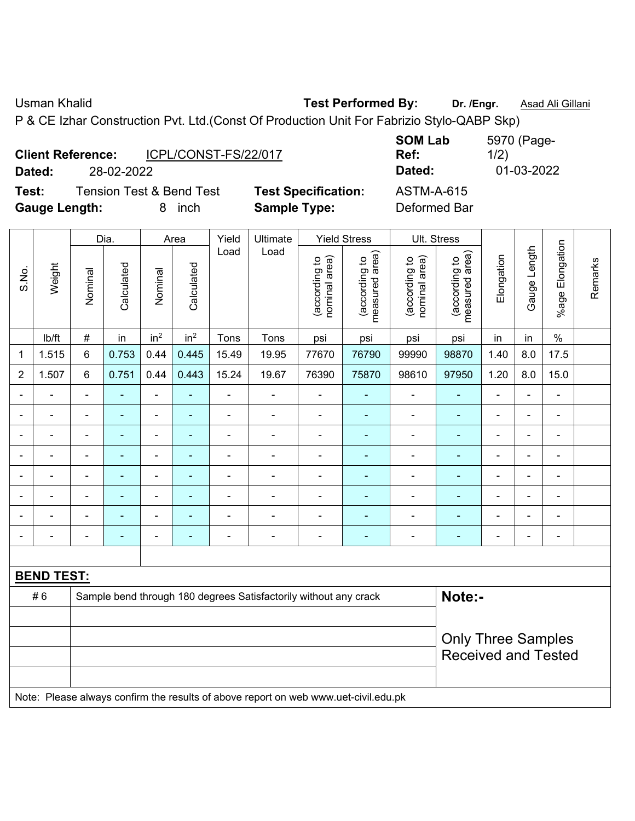Usman Khalid **Test Performed By:** Dr. /Engr. **Asad Ali Gillani** 

P & CE Izhar Construction Pvt. Ltd.(Const Of Production Unit For Fabrizio Stylo-QABP Skp)

|        | <b>Client Reference:</b> | ICPL/CONST-FS/22/017                |                  |
|--------|--------------------------|-------------------------------------|------------------|
| Dated: | 28-02-2022               |                                     |                  |
| Test:  |                          | <b>Tension Test &amp; Bend Test</b> | <b>Test Sper</b> |

**Gauge Length:** 8 inch **Sample Type:** Deformed Bar

**SOM Lab Ref:**  5970 (Page-1/2) **Dated:** 28-02-2022 **Dated:** 01-03-2022 **Testion:** ASTM-A-615

|                |                   |                              | Dia.                     | <b>Yield Stress</b><br>Yield<br>Ultimate<br>Area<br>Load<br>Load |                 |                          |                                                                  |                                |                                 |                                | Ult. Stress                     |                |                          |                              |         |
|----------------|-------------------|------------------------------|--------------------------|------------------------------------------------------------------|-----------------|--------------------------|------------------------------------------------------------------|--------------------------------|---------------------------------|--------------------------------|---------------------------------|----------------|--------------------------|------------------------------|---------|
| S.No.          | Weight            | Nominal                      | Calculated               | Nominal                                                          | Calculated      |                          |                                                                  | nominal area)<br>(according to | measured area)<br>(according to | nominal area)<br>(according to | measured area)<br>(according to | Elongation     | Gauge Length             | Elongation<br>$%$ age        | Remarks |
|                | lb/ft             | $\#$                         | in                       | in <sup>2</sup>                                                  | in <sup>2</sup> | Tons                     | Tons                                                             | psi                            | psi                             | psi                            | psi                             | in             | in                       | $\%$                         |         |
| 1              | 1.515             | 6                            | 0.753                    | 0.44                                                             | 0.445           | 15.49                    | 19.95                                                            | 77670                          | 76790                           | 99990                          | 98870                           | 1.40           | 8.0                      | 17.5                         |         |
| $\overline{2}$ | 1.507             | $6\phantom{1}$               | 0.751                    | 0.44                                                             | 0.443           | 15.24                    | 19.67                                                            | 76390                          | 75870                           | 98610                          | 97950                           | 1.20           | 8.0                      | 15.0                         |         |
|                |                   | $\blacksquare$               | $\blacksquare$           | ÷,                                                               | $\blacksquare$  | ÷,                       | $\overline{\phantom{a}}$                                         | $\frac{1}{2}$                  | $\blacksquare$                  | $\overline{\phantom{a}}$       |                                 | ÷              | $\blacksquare$           | $\blacksquare$               |         |
|                |                   |                              | ۰                        | $\blacksquare$                                                   |                 | $\blacksquare$           | Ē,                                                               | $\blacksquare$                 | ۰                               | $\blacksquare$                 | $\blacksquare$                  | $\blacksquare$ |                          | $\blacksquare$               |         |
|                |                   | $\qquad \qquad \blacksquare$ | $\overline{\phantom{0}}$ | $\overline{a}$                                                   |                 |                          |                                                                  | -                              |                                 |                                |                                 | -              | $\overline{\phantom{0}}$ | $\qquad \qquad \blacksquare$ |         |
|                |                   | $\blacksquare$               | $\overline{\phantom{0}}$ | $\overline{a}$                                                   |                 | $\overline{\phantom{0}}$ |                                                                  | -                              | ۰                               |                                |                                 | ۰              | $\overline{\phantom{0}}$ | $\overline{\phantom{a}}$     |         |
|                |                   |                              | ۰                        | ۰                                                                |                 |                          |                                                                  | $\blacksquare$                 | ٠                               |                                |                                 |                |                          | $\blacksquare$               |         |
|                |                   | $\blacksquare$               | $\blacksquare$           | ۰                                                                | $\blacksquare$  | $\blacksquare$           | ٠                                                                | $\blacksquare$                 | ۰                               | ۰                              |                                 | ۰              | $\blacksquare$           | $\blacksquare$               |         |
|                |                   |                              |                          |                                                                  |                 |                          |                                                                  | $\blacksquare$                 |                                 |                                |                                 |                |                          | $\blacksquare$               |         |
|                |                   |                              |                          |                                                                  |                 |                          |                                                                  | -                              | $\blacksquare$                  |                                |                                 | ۰              |                          | $\blacksquare$               |         |
|                |                   |                              |                          |                                                                  |                 |                          |                                                                  |                                |                                 |                                |                                 |                |                          |                              |         |
|                | <b>BEND TEST:</b> |                              |                          |                                                                  |                 |                          |                                                                  |                                |                                 |                                |                                 |                |                          |                              |         |
|                | #6                |                              |                          |                                                                  |                 |                          | Sample bend through 180 degrees Satisfactorily without any crack |                                |                                 |                                | Note:-                          |                |                          |                              |         |
|                |                   |                              |                          |                                                                  |                 |                          |                                                                  |                                |                                 |                                |                                 |                |                          |                              |         |
|                |                   |                              |                          |                                                                  |                 |                          |                                                                  |                                |                                 |                                | <b>Only Three Samples</b>       |                |                          |                              |         |
|                |                   |                              |                          |                                                                  |                 |                          |                                                                  |                                |                                 |                                | <b>Received and Tested</b>      |                |                          |                              |         |
|                |                   |                              |                          |                                                                  |                 |                          |                                                                  |                                |                                 |                                |                                 |                |                          |                              |         |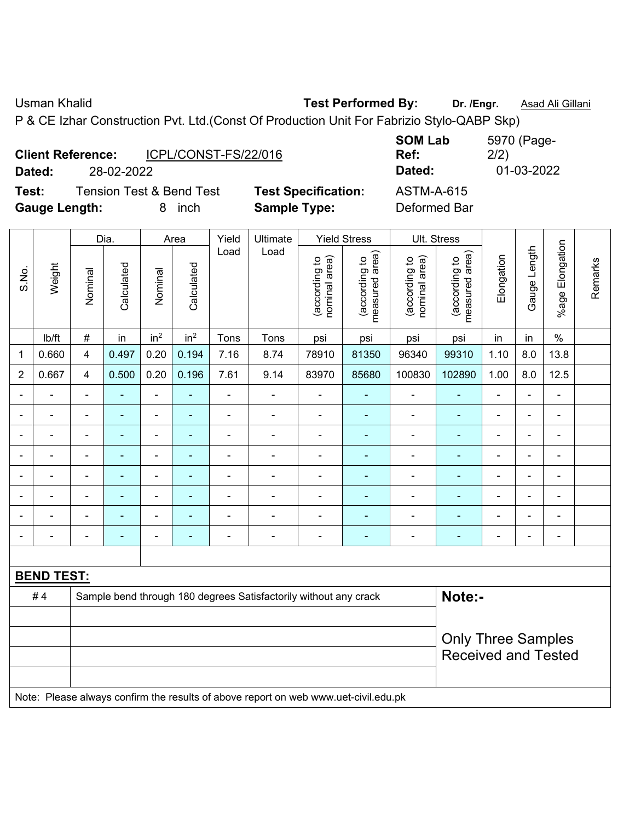Usman Khalid **Test Performed By:** Dr. /Engr. **Asad Ali Gillani** 

P & CE Izhar Construction Pvt. Ltd.(Const Of Production Unit For Fabrizio Stylo-QABP Skp)

| <b>Client Reference:</b> |            | ICPL/CONST-FS/22/016                |                   |
|--------------------------|------------|-------------------------------------|-------------------|
| Dated:                   | 28-02-2022 |                                     |                   |
| Test:                    |            | <b>Tension Test &amp; Bend Test</b> | <b>Test Speci</b> |

**SOM Lab Ref:**  5970 (Page-2/2) **Dated:** 28-02-2022 **Dated:** 01-03-2022 **Text:** Test ASTM-A-615

**Gauge Length:** 8 inch **Sample Type:** Deformed Bar

|                          |                   |                | Dia.           |                          | Area            | Yield          | Ultimate                                                                            |                                | <b>Yield Stress</b>             |                                | Ult. Stress                     |                |                          |                 |         |
|--------------------------|-------------------|----------------|----------------|--------------------------|-----------------|----------------|-------------------------------------------------------------------------------------|--------------------------------|---------------------------------|--------------------------------|---------------------------------|----------------|--------------------------|-----------------|---------|
| S.No.                    | Weight            | Nominal        | Calculated     | Nominal                  | Calculated      | Load           | Load                                                                                | nominal area)<br>(according to | (according to<br>measured area) | nominal area)<br>(according to | measured area)<br>(according to | Elongation     | Gauge Length             | %age Elongation | Remarks |
|                          | lb/ft             | $\#$           | in             | in <sup>2</sup>          | in <sup>2</sup> | Tons           | Tons                                                                                | psi                            | psi                             | psi                            | psi                             | in             | in                       | $\%$            |         |
| 1                        | 0.660             | 4              | 0.497          | 0.20                     | 0.194           | 7.16           | 8.74                                                                                | 78910                          | 81350                           | 96340                          | 99310                           | 1.10           | 8.0                      | 13.8            |         |
| $\overline{2}$           | 0.667             | $\overline{4}$ | 0.500          | 0.20                     | 0.196           | 7.61           | 9.14                                                                                | 83970                          | 85680                           | 100830                         | 102890                          | 1.00           | 8.0                      | 12.5            |         |
|                          |                   |                |                | $\blacksquare$           |                 |                |                                                                                     | $\blacksquare$                 |                                 | ä,                             |                                 |                |                          | $\blacksquare$  |         |
|                          |                   |                | $\blacksquare$ | $\blacksquare$           |                 |                | $\blacksquare$                                                                      | ä,                             | $\blacksquare$                  | $\blacksquare$                 | $\blacksquare$                  |                |                          | $\blacksquare$  |         |
| $\blacksquare$           | ÷                 | $\blacksquare$ | $\blacksquare$ | $\overline{\phantom{a}}$ | ٠               | $\blacksquare$ | $\blacksquare$                                                                      | $\overline{\phantom{a}}$       | $\blacksquare$                  | $\overline{a}$                 | ٠                               | $\blacksquare$ | $\blacksquare$           | $\overline{a}$  |         |
| $\overline{\phantom{0}}$ | $\blacksquare$    | $\blacksquare$ | $\blacksquare$ | $\overline{\phantom{a}}$ | $\blacksquare$  | $\blacksquare$ | $\blacksquare$                                                                      | $\overline{\phantom{a}}$       | $\blacksquare$                  | $\overline{\phantom{a}}$       | $\blacksquare$                  | $\blacksquare$ | $\overline{a}$           | $\blacksquare$  |         |
|                          | ÷                 | $\blacksquare$ | $\blacksquare$ | $\blacksquare$           | $\blacksquare$  | $\blacksquare$ | $\blacksquare$                                                                      | $\blacksquare$                 | $\blacksquare$                  | $\overline{a}$                 | $\blacksquare$                  |                | $\blacksquare$           | $\blacksquare$  |         |
|                          | ÷                 |                | ÷              | $\overline{\phantom{a}}$ | ٠               | ä,             |                                                                                     | $\blacksquare$                 | ÷                               | ÷                              | ÷                               |                | $\overline{\phantom{0}}$ | $\blacksquare$  |         |
|                          |                   |                |                | -                        |                 |                |                                                                                     | Ē,                             | $\blacksquare$                  | $\blacksquare$                 | ۰                               |                |                          | $\blacksquare$  |         |
| $\blacksquare$           | $\blacksquare$    | $\blacksquare$ | $\blacksquare$ | $\blacksquare$           | ٠               | $\blacksquare$ | $\overline{\phantom{a}}$                                                            | $\blacksquare$                 | ٠                               | $\blacksquare$                 | $\blacksquare$                  | $\blacksquare$ | $\overline{\phantom{0}}$ | $\blacksquare$  |         |
|                          |                   |                |                |                          |                 |                |                                                                                     |                                |                                 |                                |                                 |                |                          |                 |         |
|                          | <b>BEND TEST:</b> |                |                |                          |                 |                |                                                                                     |                                |                                 |                                |                                 |                |                          |                 |         |
|                          | #4                |                |                |                          |                 |                | Sample bend through 180 degrees Satisfactorily without any crack                    |                                |                                 |                                | Note:-                          |                |                          |                 |         |
|                          |                   |                |                |                          |                 |                |                                                                                     |                                |                                 |                                |                                 |                |                          |                 |         |
|                          |                   |                |                |                          |                 |                |                                                                                     |                                |                                 |                                | <b>Only Three Samples</b>       |                |                          |                 |         |
|                          |                   |                |                |                          |                 |                |                                                                                     |                                |                                 |                                | <b>Received and Tested</b>      |                |                          |                 |         |
|                          |                   |                |                |                          |                 |                | Note: Please always confirm the results of above report on web www.uet-civil.edu.pk |                                |                                 |                                |                                 |                |                          |                 |         |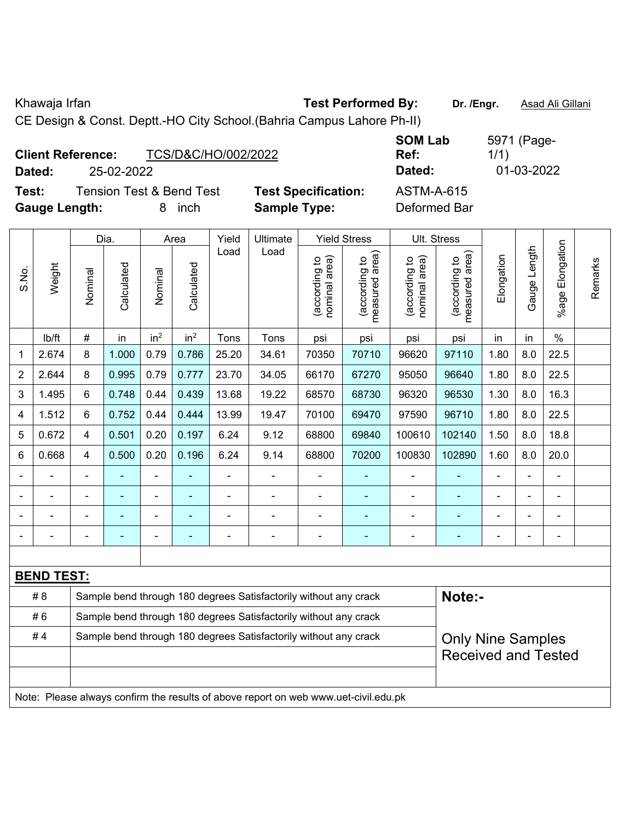Khawaja Irfan **Test Performed By:** Dr. /Engr. **Asad Ali Gillani** Chawaja Irfan

CE Design & Const. Deptt.-HO City School.(Bahria Campus Lahore Ph-II)

| <b>Client Reference:</b><br>Dated:<br>25-02-2022 | TCS/D&C/HO/002/2022                 |                            | <b>SOM Lab</b><br>Ref:<br>Dated: | 5971 (Page-<br>1/1)<br>01-03-2022 |
|--------------------------------------------------|-------------------------------------|----------------------------|----------------------------------|-----------------------------------|
| Test:                                            | <b>Tension Test &amp; Bend Test</b> | <b>Test Specification:</b> | <b>ASTM-A-615</b>                |                                   |
| <b>Gauge Length:</b>                             | inch                                | <b>Sample Type:</b>        | Deformed Bar                     |                                   |

|                          |                   |                                                                            | Dia.                                                                                                                                                                                      |                 | Area            | Yield          | Ultimate                                                         |                                | <b>Yield Stress</b>             |                                | Ult. Stress                     |                |                |                         |         |
|--------------------------|-------------------|----------------------------------------------------------------------------|-------------------------------------------------------------------------------------------------------------------------------------------------------------------------------------------|-----------------|-----------------|----------------|------------------------------------------------------------------|--------------------------------|---------------------------------|--------------------------------|---------------------------------|----------------|----------------|-------------------------|---------|
| S.No.                    | Weight            | Nominal                                                                    | Calculated                                                                                                                                                                                | Nominal         | Calculated      | Load           | Load                                                             | nominal area)<br>(according to | (according to<br>measured area) | nominal area)<br>(according to | (according to<br>measured area) | Elongation     | Gauge Length   | Elongation<br>$%$ age I | Remarks |
|                          | lb/ft             | $\#$                                                                       | in                                                                                                                                                                                        | in <sup>2</sup> | in <sup>2</sup> | Tons           | Tons                                                             | psi                            | psi                             | psi                            | psi                             | in             | in             | $\%$                    |         |
| 1                        | 2.674             | 8                                                                          | 1.000                                                                                                                                                                                     | 0.79            | 0.786           | 25.20          | 34.61                                                            | 70350                          | 70710                           | 96620                          | 97110                           | 1.80           | 8.0            | 22.5                    |         |
| 2                        | 2.644             | 8                                                                          | 0.995                                                                                                                                                                                     | 0.79            | 0.777           | 23.70          | 34.05                                                            | 66170                          | 67270                           | 95050                          | 96640                           | 1.80           | 8.0            | 22.5                    |         |
| 3                        | 1.495             | 6                                                                          | 0.748                                                                                                                                                                                     | 0.44            | 0.439           | 13.68          | 19.22                                                            | 68570                          | 68730                           | 96320                          | 96530                           | 1.30           | 8.0            | 16.3                    |         |
| 4                        | 1.512             | 6                                                                          | 0.752                                                                                                                                                                                     | 0.44            | 0.444           | 13.99          | 19.47                                                            | 70100                          | 69470                           | 97590                          | 96710                           | 1.80           | 8.0            | 22.5                    |         |
| 5                        | 0.672             | 4                                                                          | 0.501                                                                                                                                                                                     | 0.20            | 0.197           | 6.24           | 9.12                                                             | 68800                          | 69840                           | 100610                         | 102140                          | 1.50           | 8.0            | 18.8                    |         |
| 6                        | 0.668             | 4                                                                          | 0.196<br>6.24<br>100830<br>102890<br>20.0<br>0.500<br>0.20<br>9.14<br>68800<br>70200<br>1.60<br>8.0                                                                                       |                 |                 |                |                                                                  |                                |                                 |                                |                                 |                |                |                         |         |
| $\blacksquare$           | $\blacksquare$    | ä,                                                                         | $\blacksquare$<br>÷,<br>$\blacksquare$<br>$\overline{\phantom{a}}$<br>$\blacksquare$<br>ä,<br>$\blacksquare$<br>$\blacksquare$<br>$\blacksquare$<br>$\blacksquare$<br>$\blacksquare$<br>÷ |                 |                 |                |                                                                  |                                |                                 |                                |                                 |                |                |                         |         |
|                          |                   |                                                                            | ÷,                                                                                                                                                                                        | ä,              |                 |                |                                                                  | $\blacksquare$                 | ä,                              | Ē,                             | ۰                               |                |                |                         |         |
|                          |                   |                                                                            |                                                                                                                                                                                           |                 |                 |                |                                                                  |                                |                                 |                                |                                 |                |                |                         |         |
| $\overline{\phantom{a}}$ |                   | $\blacksquare$                                                             | $\blacksquare$                                                                                                                                                                            | $\blacksquare$  | ۰               | $\blacksquare$ | $\blacksquare$                                                   | $\overline{\phantom{a}}$       | ٠                               | ٠                              |                                 | $\blacksquare$ | $\blacksquare$ | $\blacksquare$          |         |
|                          |                   |                                                                            |                                                                                                                                                                                           |                 |                 |                |                                                                  |                                |                                 |                                |                                 |                |                |                         |         |
|                          | <b>BEND TEST:</b> |                                                                            |                                                                                                                                                                                           |                 |                 |                |                                                                  |                                |                                 |                                |                                 |                |                |                         |         |
|                          | # 8               | Note:-<br>Sample bend through 180 degrees Satisfactorily without any crack |                                                                                                                                                                                           |                 |                 |                |                                                                  |                                |                                 |                                |                                 |                |                |                         |         |
|                          | #6                | Sample bend through 180 degrees Satisfactorily without any crack           |                                                                                                                                                                                           |                 |                 |                |                                                                  |                                |                                 |                                |                                 |                |                |                         |         |
|                          | #4                |                                                                            |                                                                                                                                                                                           |                 |                 |                | Sample bend through 180 degrees Satisfactorily without any crack |                                |                                 |                                | <b>Only Nine Samples</b>        |                |                |                         |         |
|                          |                   |                                                                            |                                                                                                                                                                                           |                 |                 |                |                                                                  |                                |                                 |                                | <b>Received and Tested</b>      |                |                |                         |         |
|                          |                   |                                                                            |                                                                                                                                                                                           |                 |                 |                |                                                                  |                                |                                 |                                |                                 |                |                |                         |         |
|                          |                   |                                                                            | Note: Please always confirm the results of above report on web www.uet-civil.edu.pk                                                                                                       |                 |                 |                |                                                                  |                                |                                 |                                |                                 |                |                |                         |         |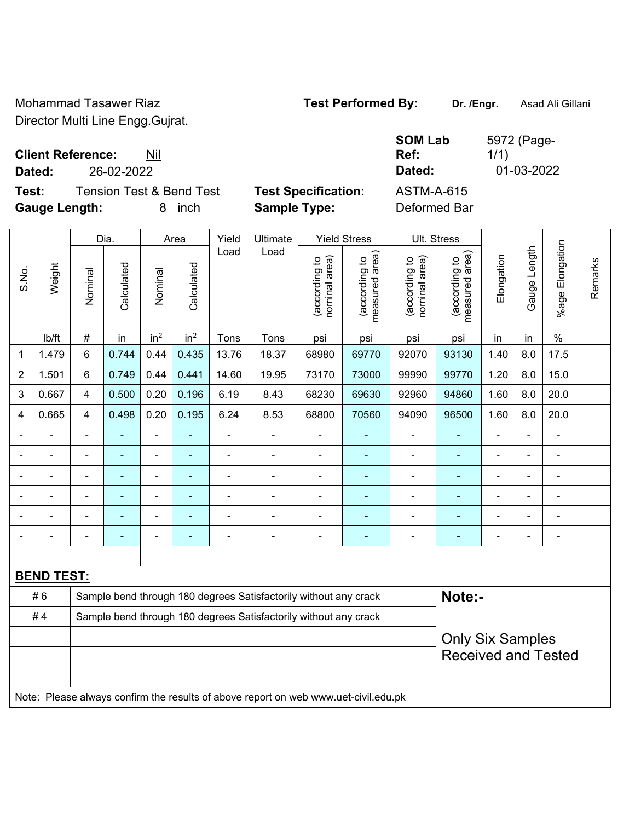Mohammad Tasawer Riaz **Test Performed By:** Dr. /Engr. **Asad Ali Gillani** Director Multi Line Engg.Gujrat.

**SOM Lab Ref:** 

5972 (Page-

1/1)

**Client Reference:** Nil

**Dated:** 26-02-2022 **Dated:** 01-03-2022

**Test:** Tension Test & Bend Test **Test Specification:** ASTM-A-615 **Gauge Length:** 8 inch **Sample Type:** Deformed Bar

|                |                   |                | Dia.       |                 | Area            | Yield                                                            | Ultimate                                                         |                                | <b>Yield Stress</b>             | <b>Ult. Stress</b>             |                                 |                |                |                              |         |
|----------------|-------------------|----------------|------------|-----------------|-----------------|------------------------------------------------------------------|------------------------------------------------------------------|--------------------------------|---------------------------------|--------------------------------|---------------------------------|----------------|----------------|------------------------------|---------|
| S.No.          | Weight            | Nominal        | Calculated | Nominal         | Calculated      | Load                                                             | Load                                                             | nominal area)<br>(according to | (according to<br>measured area) | nominal area)<br>(according to | measured area)<br>(according to | Elongation     | Gauge Length   | %age Elongation              | Remarks |
|                | lb/ft             | $\#$           | in         | in <sup>2</sup> | in <sup>2</sup> | Tons                                                             | Tons                                                             | psi                            | psi                             | psi                            | psi                             | in             | in             | $\%$                         |         |
| $\mathbf{1}$   | 1.479             | $6\phantom{1}$ | 0.744      | 0.44            | 0.435           | 13.76                                                            | 18.37                                                            | 68980                          | 69770                           | 92070                          | 93130                           | 1.40           | 8.0            | 17.5                         |         |
| $\overline{2}$ | 1.501             | $6\phantom{1}$ | 0.749      | 0.44            | 0.441           | 14.60                                                            | 19.95                                                            | 73170                          | 73000                           | 99990                          | 99770                           | 1.20           | 8.0            | 15.0                         |         |
| 3              | 0.667             | 4              | 0.500      | 0.20            | 0.196           | 6.19                                                             | 8.43                                                             | 68230                          | 69630                           | 92960                          | 94860                           | 1.60           | 8.0            | 20.0                         |         |
| 4              | 0.665             | 4              | 0.498      | 0.20            | 0.195           | 6.24                                                             | 8.53                                                             | 68800                          | 70560                           | 94090                          | 96500                           | 1.60           | 8.0            | 20.0                         |         |
|                |                   | L.             | ÷,         | ä,              | $\blacksquare$  | ÷,                                                               |                                                                  | ÷,                             | $\blacksquare$                  | ÷,                             | $\blacksquare$                  |                |                | $\blacksquare$               |         |
|                |                   |                |            | $\blacksquare$  |                 |                                                                  |                                                                  |                                | $\blacksquare$                  | ۰                              | $\blacksquare$                  |                |                |                              |         |
|                |                   | $\blacksquare$ | ۰          | ۰               |                 | $\blacksquare$                                                   |                                                                  | $\overline{\phantom{0}}$       | ۰                               | ۰                              | ۰                               | ÷              | $\blacksquare$ | $\overline{a}$               |         |
|                |                   | $\blacksquare$ | ۰          | $\overline{a}$  |                 | $\overline{\phantom{0}}$                                         |                                                                  | $\blacksquare$                 | $\overline{a}$                  | $\qquad \qquad \blacksquare$   | ۰                               |                |                | $\qquad \qquad \blacksquare$ |         |
|                |                   | $\blacksquare$ | ۰          | ۰               | $\blacksquare$  | $\blacksquare$                                                   | $\blacksquare$                                                   | $\overline{\phantom{0}}$       | ٠                               | ۰                              | ٠                               | $\blacksquare$ |                | $\blacksquare$               |         |
|                |                   |                |            |                 |                 |                                                                  |                                                                  |                                |                                 |                                |                                 |                |                | $\overline{a}$               |         |
|                |                   |                |            |                 |                 |                                                                  |                                                                  |                                |                                 |                                |                                 |                |                |                              |         |
|                | <b>BEND TEST:</b> |                |            |                 |                 |                                                                  |                                                                  |                                |                                 |                                |                                 |                |                |                              |         |
|                | #6                |                |            |                 |                 | Sample bend through 180 degrees Satisfactorily without any crack | Note:-                                                           |                                |                                 |                                |                                 |                |                |                              |         |
|                | #4                |                |            |                 |                 |                                                                  | Sample bend through 180 degrees Satisfactorily without any crack |                                |                                 |                                |                                 |                |                |                              |         |
|                |                   |                |            |                 |                 |                                                                  |                                                                  |                                |                                 |                                | <b>Only Six Samples</b>         |                |                |                              |         |
|                |                   |                |            |                 |                 |                                                                  |                                                                  |                                |                                 |                                | <b>Received and Tested</b>      |                |                |                              |         |
|                |                   |                |            |                 |                 |                                                                  |                                                                  |                                |                                 |                                |                                 |                |                |                              |         |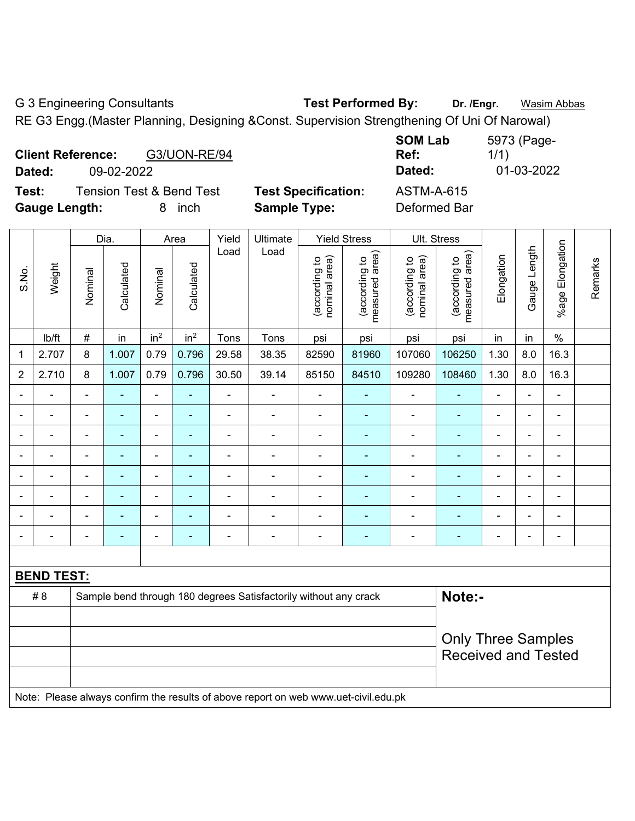G 3 Engineering Consultants **Test Performed By:** Dr. /Engr. **Wasim Abbas** 

RE G3 Engg.(Master Planning, Designing &Const. Supervision Strengthening Of Uni Of Narowal)

| <b>Client Reference:</b><br>G3/UON-RE/94<br>Dated:<br>09-02-2022 |                            | <b>SOM Lab</b><br>Ref:<br>Dated: | 5973 (Page-<br>1/1)<br>01-03-2022 |
|------------------------------------------------------------------|----------------------------|----------------------------------|-----------------------------------|
| <b>Tension Test &amp; Bend Test</b><br>Test:                     | <b>Test Specification:</b> | <b>ASTM-A-615</b>                |                                   |
| <b>Gauge Length:</b><br>inch<br>8                                | <b>Sample Type:</b>        | Deformed Bar                     |                                   |

|                |                   |                                                                            | Dia.           |                 | Area            | Yield          | Ultimate                                                                            |                                | <b>Yield Stress</b>             |                                | Ult. Stress                     |                |                |                          |         |
|----------------|-------------------|----------------------------------------------------------------------------|----------------|-----------------|-----------------|----------------|-------------------------------------------------------------------------------------|--------------------------------|---------------------------------|--------------------------------|---------------------------------|----------------|----------------|--------------------------|---------|
| S.No.          | Weight            | Nominal                                                                    | Calculated     | Nominal         | Calculated      | Load           | Load                                                                                | nominal area)<br>(according to | (according to<br>measured area) | nominal area)<br>(according to | measured area)<br>(according to | Elongation     | Gauge Length   | %age Elongation          | Remarks |
|                | Ib/ft             | $\#$                                                                       | in             | in <sup>2</sup> | in <sup>2</sup> | Tons           | Tons                                                                                | psi                            | psi                             | psi                            | psi                             | in             | in             | $\%$                     |         |
| 1              | 2.707             | 8                                                                          | 1.007          | 0.79            | 0.796           | 29.58          | 38.35                                                                               | 82590                          | 81960                           | 107060                         | 106250                          | 1.30           | 8.0            | 16.3                     |         |
| $\overline{2}$ | 2.710             | 8                                                                          | 1.007          | 0.79            | 0.796           | 30.50          | 39.14                                                                               | 85150                          | 84510                           | 109280                         | 108460                          | 1.30           | 8.0            | 16.3                     |         |
| $\blacksquare$ | $\blacksquare$    |                                                                            |                | ä,              | $\blacksquare$  | $\overline{a}$ | $\blacksquare$                                                                      | $\overline{a}$                 | ä,                              | ä,                             |                                 | $\blacksquare$ | $\blacksquare$ | $\overline{a}$           |         |
| $\blacksquare$ | $\overline{a}$    | $\blacksquare$                                                             | $\blacksquare$ | $\blacksquare$  | $\blacksquare$  | $\blacksquare$ | $\blacksquare$                                                                      | ÷,                             | $\blacksquare$                  | $\overline{\phantom{a}}$       | $\blacksquare$                  | $\blacksquare$ | ۰              | $\blacksquare$           |         |
| $\blacksquare$ | $\blacksquare$    | $\blacksquare$                                                             | $\blacksquare$ | $\blacksquare$  | $\blacksquare$  | $\blacksquare$ | $\blacksquare$                                                                      | $\overline{\phantom{a}}$       | $\blacksquare$                  | $\overline{\phantom{a}}$       | ÷                               | ۰              | ÷,             | $\blacksquare$           |         |
|                | $\blacksquare$    | $\blacksquare$                                                             | Ē,             | $\blacksquare$  |                 | $\blacksquare$ | ä,                                                                                  | $\blacksquare$                 | $\blacksquare$                  | $\overline{\phantom{a}}$       | ٠                               | $\blacksquare$ | ÷,             | $\overline{\phantom{a}}$ |         |
| $\blacksquare$ | $\blacksquare$    | $\blacksquare$                                                             | $\blacksquare$ | $\blacksquare$  | $\blacksquare$  | ä,             | $\blacksquare$                                                                      | ÷,                             | $\blacksquare$                  | $\blacksquare$                 | $\blacksquare$                  | $\blacksquare$ | ä,             | ä,                       |         |
|                |                   | $\blacksquare$                                                             | L.             | ÷               | ٠               | $\overline{a}$ | $\blacksquare$                                                                      | ÷                              | $\blacksquare$                  | ÷                              |                                 |                | $\blacksquare$ | -                        |         |
|                |                   |                                                                            | Ē.             | $\overline{a}$  |                 |                | $\blacksquare$                                                                      | $\blacksquare$                 | $\blacksquare$                  | $\blacksquare$                 | $\overline{\phantom{0}}$        |                |                | $\overline{a}$           |         |
|                |                   |                                                                            |                | ÷               | Ē.              |                | ÷                                                                                   | Ē,                             | $\blacksquare$                  | Ē,                             |                                 | ۰              | ÷              | L,                       |         |
|                |                   |                                                                            |                |                 |                 |                |                                                                                     |                                |                                 |                                |                                 |                |                |                          |         |
|                | <b>BEND TEST:</b> |                                                                            |                |                 |                 |                |                                                                                     |                                |                                 |                                |                                 |                |                |                          |         |
|                | #8                | Note:-<br>Sample bend through 180 degrees Satisfactorily without any crack |                |                 |                 |                |                                                                                     |                                |                                 |                                |                                 |                |                |                          |         |
|                |                   |                                                                            |                |                 |                 |                |                                                                                     |                                |                                 |                                |                                 |                |                |                          |         |
|                |                   |                                                                            |                |                 |                 |                |                                                                                     |                                |                                 |                                | <b>Only Three Samples</b>       |                |                |                          |         |
|                |                   |                                                                            |                |                 |                 |                |                                                                                     |                                |                                 |                                | <b>Received and Tested</b>      |                |                |                          |         |
|                |                   |                                                                            |                |                 |                 |                |                                                                                     |                                |                                 |                                |                                 |                |                |                          |         |
|                |                   |                                                                            |                |                 |                 |                | Note: Please always confirm the results of above report on web www.uet-civil.edu.pk |                                |                                 |                                |                                 |                |                |                          |         |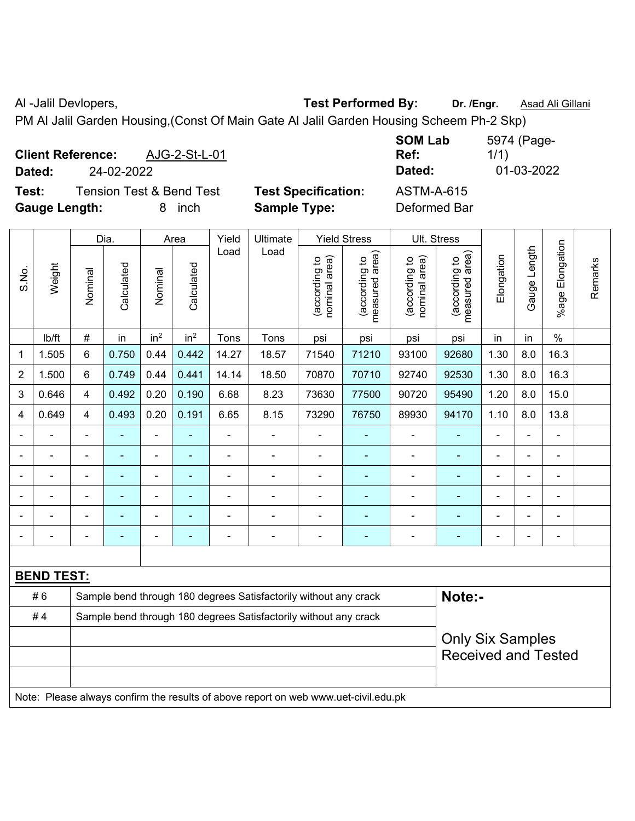Al -Jalil Devlopers, **Test Performed By:** Dr. /Engr. **Asad Ali Gillani** 

PM Al Jalil Garden Housing,(Const Of Main Gate Al Jalil Garden Housing Scheem Ph-2 Skp)

| <b>Client Reference:</b><br>Dated:       | 24-02-2022               | AJG-2-St-L-01 |                            | <b>SOM Lab</b><br>Ref:<br>Dated: | 5974 (Page-<br>1/1)<br>01-03-2022 |  |  |
|------------------------------------------|--------------------------|---------------|----------------------------|----------------------------------|-----------------------------------|--|--|
| Test:                                    | Tension Test & Bend Test |               | <b>Test Specification:</b> | <b>ASTM-A-615</b>                |                                   |  |  |
| <b>Gauge Length:</b><br><i>inch</i><br>8 |                          |               | <b>Sample Type:</b>        | Deformed Bar                     |                                   |  |  |

|                | Weight            |                                                                            | Dia.<br>Area   |                 |                          | Yield          | Ultimate                                                                            | <b>Yield Stress</b>            |                                 | <b>Ult. Stress</b>             |                                                       |                |              |                      |         |  |
|----------------|-------------------|----------------------------------------------------------------------------|----------------|-----------------|--------------------------|----------------|-------------------------------------------------------------------------------------|--------------------------------|---------------------------------|--------------------------------|-------------------------------------------------------|----------------|--------------|----------------------|---------|--|
| S.No.          |                   | Nominal                                                                    | Calculated     | Nominal         | Calculated               | Load           | Load                                                                                | nominal area)<br>(according to | (according to<br>measured area) | nominal area)<br>(according to | (according to<br>measured area)                       | Elongation     | Gauge Length | Elongation<br>%age I | Remarks |  |
|                | lb/ft             | $\#$                                                                       | in             | in <sup>2</sup> | in <sup>2</sup>          | Tons           | Tons                                                                                | psi                            | psi                             | psi                            | psi                                                   | in             | in           | $\frac{0}{0}$        |         |  |
| 1              | 1.505             | 6                                                                          | 0.750          | 0.44            | 0.442                    | 14.27          | 18.57                                                                               | 71540                          | 71210                           | 93100                          | 92680                                                 | 1.30           | 8.0          | 16.3                 |         |  |
| $\overline{2}$ | 1.500             | 6                                                                          | 0.749          | 0.44            | 0.441                    | 14.14          | 18.50                                                                               | 70870                          | 70710                           | 92740                          | 92530                                                 | 1.30           | 8.0          | 16.3                 |         |  |
| 3              | 0.646             | $\overline{4}$                                                             | 0.492          | 0.20            | 0.190                    | 6.68           | 8.23                                                                                | 73630                          | 77500                           | 90720                          | 95490                                                 | 1.20           | 8.0          | 15.0                 |         |  |
| 4              | 0.649             | 4                                                                          | 0.493          | 0.20            | 0.191                    | 6.65           | 8.15                                                                                | 73290                          | 76750                           | 89930                          | 94170                                                 | 1.10           | 8.0          | 13.8                 |         |  |
|                | $\blacksquare$    |                                                                            | $\blacksquare$ | $\blacksquare$  | $\overline{\phantom{a}}$ | L,             |                                                                                     | $\blacksquare$                 | $\blacksquare$                  | $\blacksquare$                 |                                                       | $\blacksquare$ | ä,           | $\blacksquare$       |         |  |
|                | $\blacksquare$    |                                                                            | $\blacksquare$ | $\blacksquare$  | $\overline{\phantom{a}}$ | $\blacksquare$ | $\blacksquare$                                                                      | $\blacksquare$                 | $\blacksquare$                  | $\blacksquare$                 | $\blacksquare$                                        | $\blacksquare$ | ä,           | $\blacksquare$       |         |  |
|                |                   |                                                                            | $\blacksquare$ | $\blacksquare$  | $\overline{\phantom{a}}$ |                | $\blacksquare$                                                                      | $\blacksquare$                 | $\blacksquare$                  | $\blacksquare$                 | $\blacksquare$                                        | $\blacksquare$ | L.           | $\blacksquare$       |         |  |
|                |                   |                                                                            |                | L.              |                          |                |                                                                                     |                                |                                 |                                |                                                       |                | ÷            |                      |         |  |
|                |                   |                                                                            | $\blacksquare$ | $\overline{a}$  |                          |                |                                                                                     | $\blacksquare$                 | $\blacksquare$                  | $\blacksquare$                 |                                                       |                |              | $\blacksquare$       |         |  |
| $\blacksquare$ |                   |                                                                            | $\blacksquare$ | $\blacksquare$  | $\blacksquare$           | ٠              | $\blacksquare$                                                                      | ÷                              | $\blacksquare$                  | $\blacksquare$                 | $\blacksquare$                                        | $\blacksquare$ | ÷            | $\blacksquare$       |         |  |
|                |                   |                                                                            |                |                 |                          |                |                                                                                     |                                |                                 |                                |                                                       |                |              |                      |         |  |
|                | <b>BEND TEST:</b> |                                                                            |                |                 |                          |                |                                                                                     |                                |                                 |                                |                                                       |                |              |                      |         |  |
|                | #6                | Note:-<br>Sample bend through 180 degrees Satisfactorily without any crack |                |                 |                          |                |                                                                                     |                                |                                 |                                |                                                       |                |              |                      |         |  |
|                | #4                | Sample bend through 180 degrees Satisfactorily without any crack           |                |                 |                          |                |                                                                                     |                                |                                 |                                |                                                       |                |              |                      |         |  |
|                |                   |                                                                            |                |                 |                          |                |                                                                                     |                                |                                 |                                | <b>Only Six Samples</b><br><b>Received and Tested</b> |                |              |                      |         |  |
|                |                   |                                                                            |                |                 |                          |                |                                                                                     |                                |                                 |                                |                                                       |                |              |                      |         |  |
|                |                   |                                                                            |                |                 |                          |                |                                                                                     |                                |                                 |                                |                                                       |                |              |                      |         |  |
|                |                   |                                                                            |                |                 |                          |                | Note: Please always confirm the results of above report on web www.uet-civil.edu.pk |                                |                                 |                                |                                                       |                |              |                      |         |  |